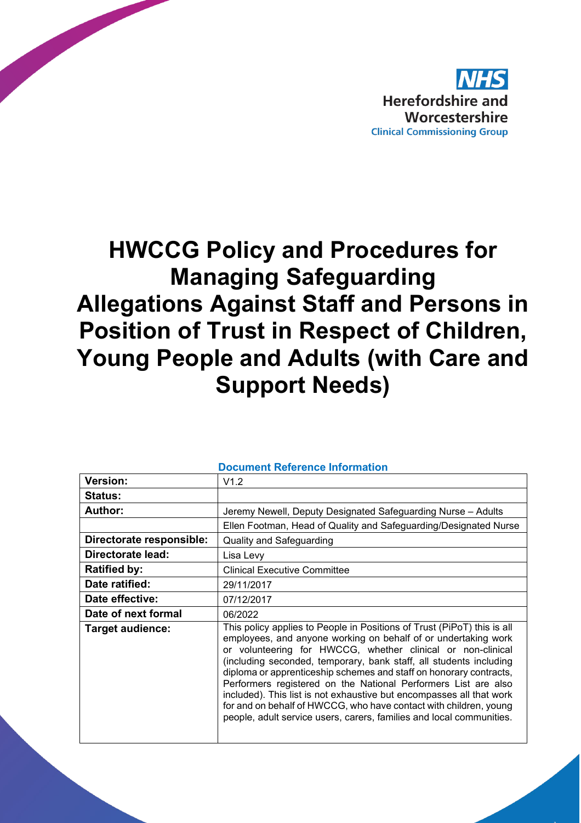

# **HWCCG Policy and Procedures for Managing Safeguarding Allegations Against Staff and Persons in Position of Trust in Respect of Children, Young People and Adults (with Care and Support Needs)**

| <b>Document Reference Information</b> |                                                                                                                                                                                                                                                                                                                                                                                                                                                                                                                                                                                                                                             |  |  |  |
|---------------------------------------|---------------------------------------------------------------------------------------------------------------------------------------------------------------------------------------------------------------------------------------------------------------------------------------------------------------------------------------------------------------------------------------------------------------------------------------------------------------------------------------------------------------------------------------------------------------------------------------------------------------------------------------------|--|--|--|
| <b>Version:</b>                       | V1.2                                                                                                                                                                                                                                                                                                                                                                                                                                                                                                                                                                                                                                        |  |  |  |
| <b>Status:</b>                        |                                                                                                                                                                                                                                                                                                                                                                                                                                                                                                                                                                                                                                             |  |  |  |
| <b>Author:</b>                        | Jeremy Newell, Deputy Designated Safeguarding Nurse - Adults                                                                                                                                                                                                                                                                                                                                                                                                                                                                                                                                                                                |  |  |  |
|                                       | Ellen Footman, Head of Quality and Safeguarding/Designated Nurse                                                                                                                                                                                                                                                                                                                                                                                                                                                                                                                                                                            |  |  |  |
| Directorate responsible:              | <b>Quality and Safeguarding</b>                                                                                                                                                                                                                                                                                                                                                                                                                                                                                                                                                                                                             |  |  |  |
| Directorate lead:                     | Lisa Levy                                                                                                                                                                                                                                                                                                                                                                                                                                                                                                                                                                                                                                   |  |  |  |
| <b>Ratified by:</b>                   | <b>Clinical Executive Committee</b>                                                                                                                                                                                                                                                                                                                                                                                                                                                                                                                                                                                                         |  |  |  |
| Date ratified:                        | 29/11/2017                                                                                                                                                                                                                                                                                                                                                                                                                                                                                                                                                                                                                                  |  |  |  |
| Date effective:                       | 07/12/2017                                                                                                                                                                                                                                                                                                                                                                                                                                                                                                                                                                                                                                  |  |  |  |
| Date of next formal                   | 06/2022                                                                                                                                                                                                                                                                                                                                                                                                                                                                                                                                                                                                                                     |  |  |  |
| Target audience:                      | This policy applies to People in Positions of Trust (PiPoT) this is all<br>employees, and anyone working on behalf of or undertaking work<br>or volunteering for HWCCG, whether clinical or non-clinical<br>(including seconded, temporary, bank staff, all students including<br>diploma or apprenticeship schemes and staff on honorary contracts,<br>Performers registered on the National Performers List are also<br>included). This list is not exhaustive but encompasses all that work<br>for and on behalf of HWCCG, who have contact with children, young<br>people, adult service users, carers, families and local communities. |  |  |  |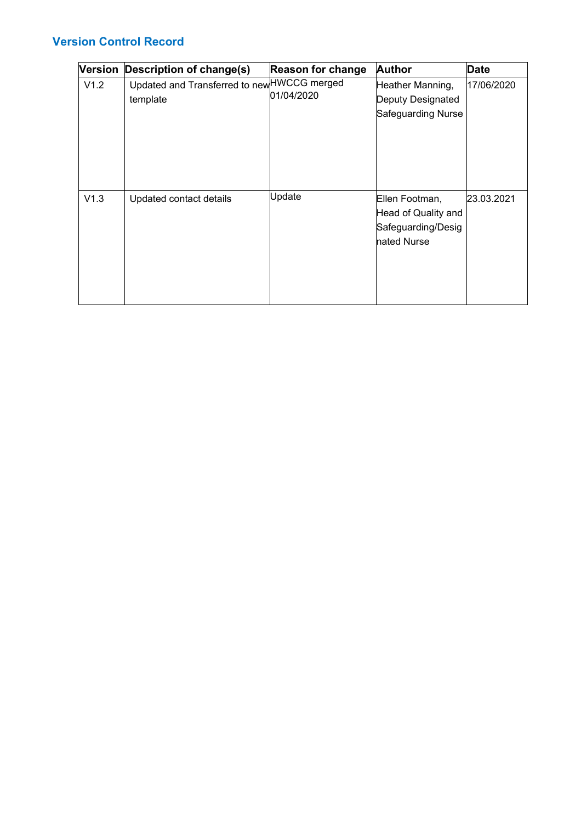#### **Version Control Record**

| <b>Version</b> | <b>Description of change(s)</b>                         | <b>Reason for change</b> | <b>Author</b>                                                              | <b>Date</b> |
|----------------|---------------------------------------------------------|--------------------------|----------------------------------------------------------------------------|-------------|
| V1.2           | Updated and Transferred to new HWCCG merged<br>template | 01/04/2020               | Heather Manning,<br>Deputy Designated<br>Safeguarding Nurse                | 17/06/2020  |
| V1.3           | Updated contact details                                 | Update                   | Ellen Footman,<br>Head of Quality and<br>Safeguarding/Desig<br>nated Nurse | 23.03.2021  |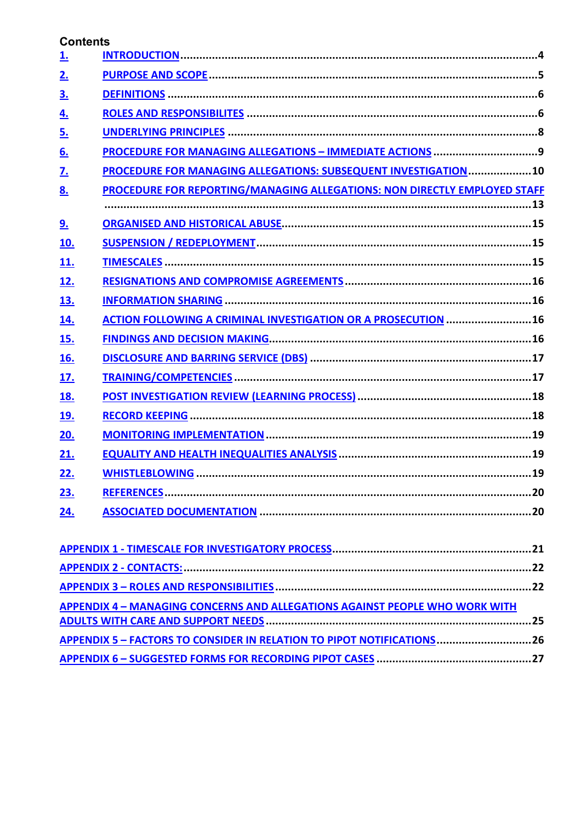#### **Contents**

| <u>1.</u>  |                                                                           |
|------------|---------------------------------------------------------------------------|
| 2.         |                                                                           |
| <u>3.</u>  |                                                                           |
| <u>4.</u>  |                                                                           |
| <u>5.</u>  |                                                                           |
| 6.         |                                                                           |
| <u>7.</u>  | PROCEDURE FOR MANAGING ALLEGATIONS: SUBSEQUENT INVESTIGATION10            |
| 8.         | PROCEDURE FOR REPORTING/MANAGING ALLEGATIONS: NON DIRECTLY EMPLOYED STAFF |
|            |                                                                           |
| 9.         |                                                                           |
| <u>10.</u> |                                                                           |
| <u>11.</u> |                                                                           |
| <u>12.</u> |                                                                           |
| <u>13.</u> |                                                                           |
| <u>14.</u> | <b>ACTION FOLLOWING A CRIMINAL INVESTIGATION OR A PROSECUTION 16</b>      |
| <u>15.</u> |                                                                           |
| <u>16.</u> |                                                                           |
| <u>17.</u> |                                                                           |
| <u>18.</u> |                                                                           |
| <u>19.</u> |                                                                           |
| 20.        |                                                                           |
| 21.        |                                                                           |
| 22.        |                                                                           |
| 23.        |                                                                           |
| <u>24.</u> |                                                                           |

| <b>APPENDIX 4 - MANAGING CONCERNS AND ALLEGATIONS AGAINST PEOPLE WHO WORK WITH</b> |  |
|------------------------------------------------------------------------------------|--|
|                                                                                    |  |
| APPENDIX 5 - FACTORS TO CONSIDER IN RELATION TO PIPOT NOTIFICATIONS26              |  |
|                                                                                    |  |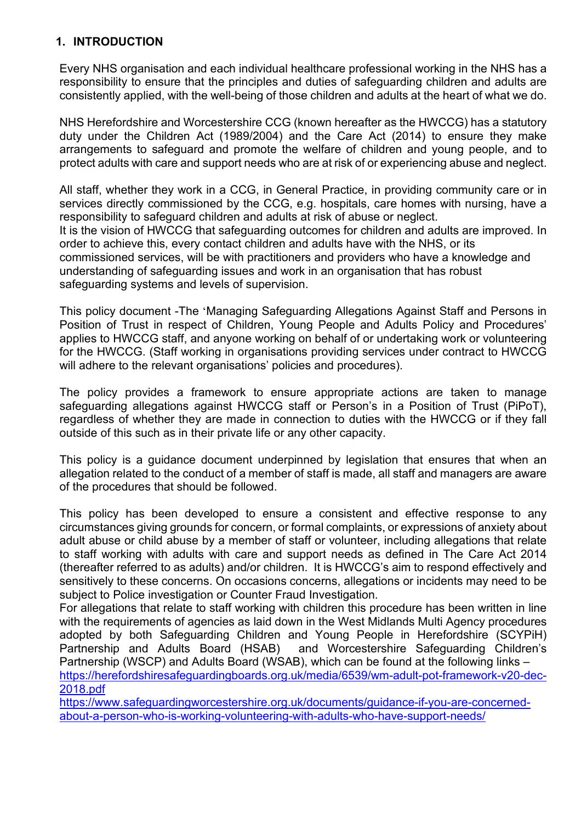#### <span id="page-3-0"></span>**1. INTRODUCTION**

Every NHS organisation and each individual healthcare professional working in the NHS has a responsibility to ensure that the principles and duties of safeguarding children and adults are consistently applied, with the well-being of those children and adults at the heart of what we do.

NHS Herefordshire and Worcestershire CCG (known hereafter as the HWCCG) has a statutory duty under the Children Act (1989/2004) and the Care Act (2014) to ensure they make arrangements to safeguard and promote the welfare of children and young people, and to protect adults with care and support needs who are at risk of or experiencing abuse and neglect.

All staff, whether they work in a CCG, in General Practice, in providing community care or in services directly commissioned by the CCG, e.g. hospitals, care homes with nursing, have a responsibility to safeguard children and adults at risk of abuse or neglect.

It is the vision of HWCCG that safeguarding outcomes for children and adults are improved. In order to achieve this, every contact children and adults have with the NHS, or its commissioned services, will be with practitioners and providers who have a knowledge and understanding of safeguarding issues and work in an organisation that has robust safeguarding systems and levels of supervision.

This policy document -The 'Managing Safeguarding Allegations Against Staff and Persons in Position of Trust in respect of Children, Young People and Adults Policy and Procedures' applies to HWCCG staff, and anyone working on behalf of or undertaking work or volunteering for the HWCCG. (Staff working in organisations providing services under contract to HWCCG will adhere to the relevant organisations' policies and procedures).

The policy provides a framework to ensure appropriate actions are taken to manage safeguarding allegations against HWCCG staff or Person's in a Position of Trust (PiPoT), regardless of whether they are made in connection to duties with the HWCCG or if they fall outside of this such as in their private life or any other capacity.

This policy is a guidance document underpinned by legislation that ensures that when an allegation related to the conduct of a member of staff is made, all staff and managers are aware of the procedures that should be followed.

This policy has been developed to ensure a consistent and effective response to any circumstances giving grounds for concern, or formal complaints, or expressions of anxiety about adult abuse or child abuse by a member of staff or volunteer, including allegations that relate to staff working with adults with care and support needs as defined in The Care Act 2014 (thereafter referred to as adults) and/or children. It is HWCCG's aim to respond effectively and sensitively to these concerns. On occasions concerns, allegations or incidents may need to be subject to Police investigation or Counter Fraud Investigation.

For allegations that relate to staff working with children this procedure has been written in line with the requirements of agencies as laid down in the West Midlands Multi Agency procedures adopted by both Safeguarding Children and Young People in Herefordshire (SCYPiH) Partnership and Adults Board (HSAB) and Worcestershire Safeguarding Children's Partnership (WSCP) and Adults Board (WSAB), which can be found at the following links – [https://herefordshiresafeguardingboards.org.uk/media/6539/wm-adult-pot-framework-v20-dec-](https://herefordshiresafeguardingboards.org.uk/media/6539/wm-adult-pot-framework-v20-dec-2018.pdf)[2018.pdf](https://herefordshiresafeguardingboards.org.uk/media/6539/wm-adult-pot-framework-v20-dec-2018.pdf)

[https://www.safeguardingworcestershire.org.uk/documents/guidance-if-you-are-concerned](https://www.safeguardingworcestershire.org.uk/documents/guidance-if-you-are-concerned-about-a-person-who-is-working-volunteering-with-adults-who-have-support-needs/)[about-a-person-who-is-working-volunteering-with-adults-who-have-support-needs/](https://www.safeguardingworcestershire.org.uk/documents/guidance-if-you-are-concerned-about-a-person-who-is-working-volunteering-with-adults-who-have-support-needs/)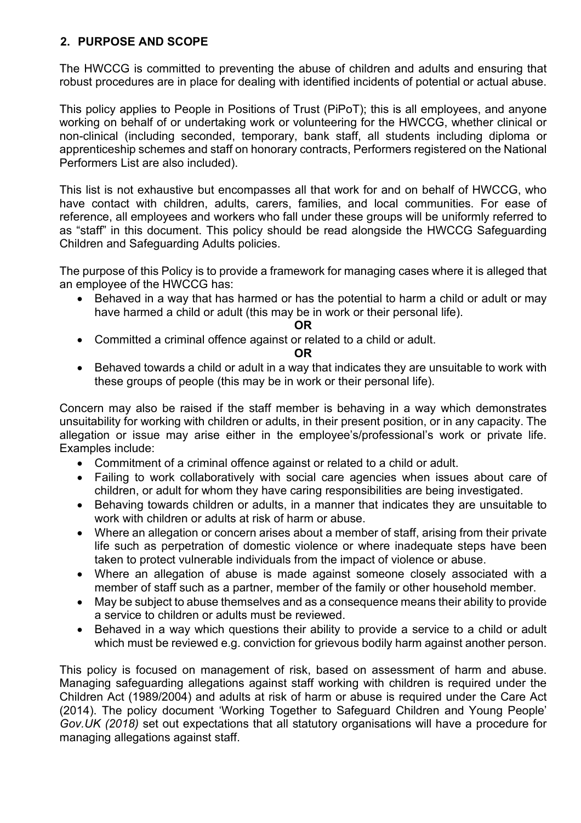#### <span id="page-4-0"></span>**2. PURPOSE AND SCOPE**

The HWCCG is committed to preventing the abuse of children and adults and ensuring that robust procedures are in place for dealing with identified incidents of potential or actual abuse.

This policy applies to People in Positions of Trust (PiPoT); this is all employees, and anyone working on behalf of or undertaking work or volunteering for the HWCCG, whether clinical or non-clinical (including seconded, temporary, bank staff, all students including diploma or apprenticeship schemes and staff on honorary contracts, Performers registered on the National Performers List are also included).

This list is not exhaustive but encompasses all that work for and on behalf of HWCCG, who have contact with children, adults, carers, families, and local communities. For ease of reference, all employees and workers who fall under these groups will be uniformly referred to as "staff" in this document. This policy should be read alongside the HWCCG Safeguarding Children and Safeguarding Adults policies.

The purpose of this Policy is to provide a framework for managing cases where it is alleged that an employee of the HWCCG has:

• Behaved in a way that has harmed or has the potential to harm a child or adult or may have harmed a child or adult (this may be in work or their personal life).

**OR**

• Committed a criminal offence against or related to a child or adult.

#### **OR**

• Behaved towards a child or adult in a way that indicates they are unsuitable to work with these groups of people (this may be in work or their personal life).

Concern may also be raised if the staff member is behaving in a way which demonstrates unsuitability for working with children or adults, in their present position, or in any capacity. The allegation or issue may arise either in the employee's/professional's work or private life. Examples include:

- Commitment of a criminal offence against or related to a child or adult.
- Failing to work collaboratively with social care agencies when issues about care of children, or adult for whom they have caring responsibilities are being investigated.
- Behaving towards children or adults, in a manner that indicates they are unsuitable to work with children or adults at risk of harm or abuse.
- Where an allegation or concern arises about a member of staff, arising from their private life such as perpetration of domestic violence or where inadequate steps have been taken to protect vulnerable individuals from the impact of violence or abuse.
- Where an allegation of abuse is made against someone closely associated with a member of staff such as a partner, member of the family or other household member.
- May be subject to abuse themselves and as a consequence means their ability to provide a service to children or adults must be reviewed.
- Behaved in a way which questions their ability to provide a service to a child or adult which must be reviewed e.g. conviction for grievous bodily harm against another person.

This policy is focused on management of risk, based on assessment of harm and abuse. Managing safeguarding allegations against staff working with children is required under the Children Act (1989/2004) and adults at risk of harm or abuse is required under the Care Act (2014). The policy document 'Working Together to Safeguard Children and Young People' *Gov.UK (2018)* set out expectations that all statutory organisations will have a procedure for managing allegations against staff.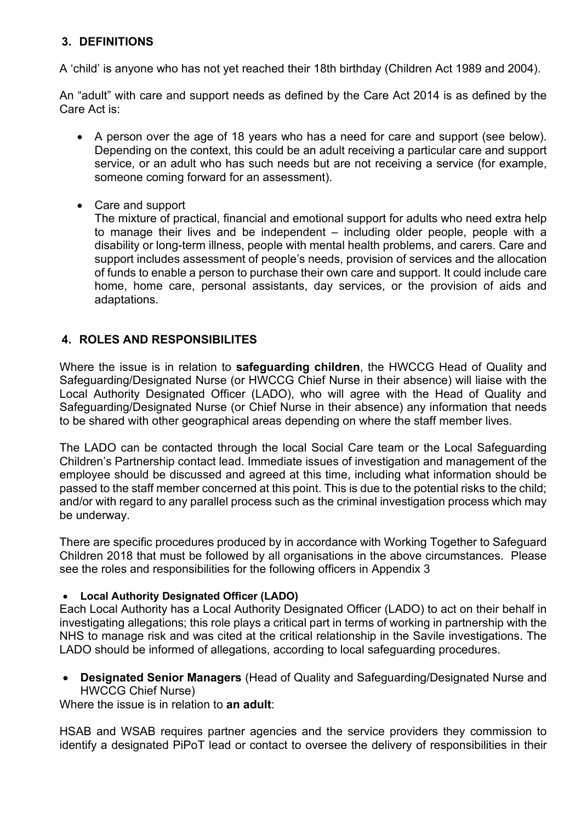#### <span id="page-5-0"></span>**3. DEFINITIONS**

A 'child' is anyone who has not yet reached their 18th birthday (Children Act 1989 and 2004).

An "adult" with care and support needs as defined by the Care Act 2014 is as defined by the Care Act is:

- A person over the age of 18 years who has a need for care and support (see below). Depending on the context, this could be an adult receiving a particular care and support service, or an adult who has such needs but are not receiving a service (for example, someone coming forward for an assessment).
- Care and support

The mixture of practical, financial and emotional support for adults who need extra help to manage their lives and be independent – including older people, people with a disability or long-term illness, people with mental health problems, and carers. Care and support includes assessment of people's needs, provision of services and the allocation of funds to enable a person to purchase their own care and support. It could include care home, home care, personal assistants, day services, or the provision of aids and adaptations.

#### <span id="page-5-1"></span>**4. ROLES AND RESPONSIBILITES**

Where the issue is in relation to **safeguarding children**, the HWCCG Head of Quality and Safeguarding/Designated Nurse (or HWCCG Chief Nurse in their absence) will liaise with the Local Authority Designated Officer (LADO), who will agree with the Head of Quality and Safeguarding/Designated Nurse (or Chief Nurse in their absence) any information that needs to be shared with other geographical areas depending on where the staff member lives.

The LADO can be contacted through the local Social Care team or the Local Safeguarding Children's Partnership contact lead. Immediate issues of investigation and management of the employee should be discussed and agreed at this time, including what information should be passed to the staff member concerned at this point. This is due to the potential risks to the child; and/or with regard to any parallel process such as the criminal investigation process which may be underway.

There are specific procedures produced by in accordance with Working Together to Safeguard Children 2018 that must be followed by all organisations in the above circumstances. Please see the roles and responsibilities for the following officers in Appendix 3

#### • **Local Authority Designated Officer (LADO)**

Each Local Authority has a Local Authority Designated Officer (LADO) to act on their behalf in investigating allegations; this role plays a critical part in terms of working in partnership with the NHS to manage risk and was cited at the critical relationship in the Savile investigations. The LADO should be informed of allegations, according to local safeguarding procedures.

• **Designated Senior Managers** (Head of Quality and Safeguarding/Designated Nurse and HWCCG Chief Nurse)

Where the issue is in relation to **an adult**:

HSAB and WSAB requires partner agencies and the service providers they commission to identify a designated PiPoT lead or contact to oversee the delivery of responsibilities in their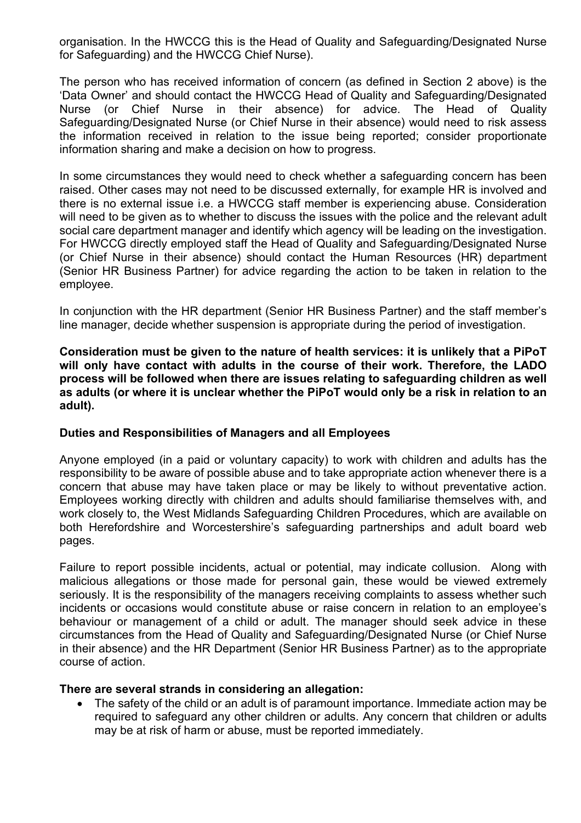organisation. In the HWCCG this is the Head of Quality and Safeguarding/Designated Nurse for Safeguarding) and the HWCCG Chief Nurse).

The person who has received information of concern (as defined in Section 2 above) is the 'Data Owner' and should contact the HWCCG Head of Quality and Safeguarding/Designated Nurse (or Chief Nurse in their absence) for advice. The Head of Quality Safeguarding/Designated Nurse (or Chief Nurse in their absence) would need to risk assess the information received in relation to the issue being reported; consider proportionate information sharing and make a decision on how to progress.

In some circumstances they would need to check whether a safeguarding concern has been raised. Other cases may not need to be discussed externally, for example HR is involved and there is no external issue i.e. a HWCCG staff member is experiencing abuse. Consideration will need to be given as to whether to discuss the issues with the police and the relevant adult social care department manager and identify which agency will be leading on the investigation. For HWCCG directly employed staff the Head of Quality and Safeguarding/Designated Nurse (or Chief Nurse in their absence) should contact the Human Resources (HR) department (Senior HR Business Partner) for advice regarding the action to be taken in relation to the employee.

In conjunction with the HR department (Senior HR Business Partner) and the staff member's line manager, decide whether suspension is appropriate during the period of investigation.

**Consideration must be given to the nature of health services: it is unlikely that a PiPoT will only have contact with adults in the course of their work. Therefore, the LADO process will be followed when there are issues relating to safeguarding children as well as adults (or where it is unclear whether the PiPoT would only be a risk in relation to an adult).**

#### **Duties and Responsibilities of Managers and all Employees**

Anyone employed (in a paid or voluntary capacity) to work with children and adults has the responsibility to be aware of possible abuse and to take appropriate action whenever there is a concern that abuse may have taken place or may be likely to without preventative action. Employees working directly with children and adults should familiarise themselves with, and work closely to, the West Midlands Safeguarding Children Procedures, which are available on both Herefordshire and Worcestershire's safeguarding partnerships and adult board web pages.

Failure to report possible incidents, actual or potential, may indicate collusion. Along with malicious allegations or those made for personal gain, these would be viewed extremely seriously. It is the responsibility of the managers receiving complaints to assess whether such incidents or occasions would constitute abuse or raise concern in relation to an employee's behaviour or management of a child or adult. The manager should seek advice in these circumstances from the Head of Quality and Safeguarding/Designated Nurse (or Chief Nurse in their absence) and the HR Department (Senior HR Business Partner) as to the appropriate course of action.

#### **There are several strands in considering an allegation:**

• The safety of the child or an adult is of paramount importance. Immediate action may be required to safeguard any other children or adults. Any concern that children or adults may be at risk of harm or abuse, must be reported immediately.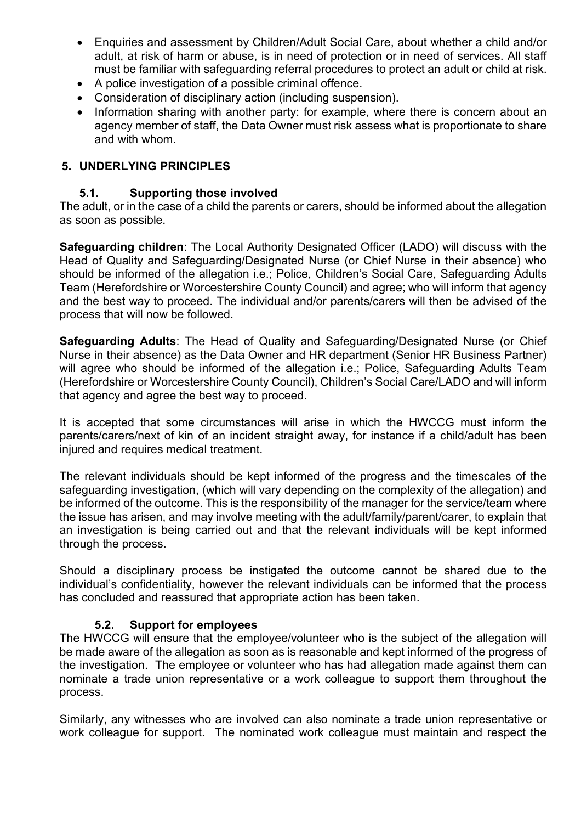- Enquiries and assessment by Children/Adult Social Care, about whether a child and/or adult, at risk of harm or abuse, is in need of protection or in need of services. All staff must be familiar with safeguarding referral procedures to protect an adult or child at risk.
- A police investigation of a possible criminal offence.
- Consideration of disciplinary action (including suspension).
- Information sharing with another party: for example, where there is concern about an agency member of staff, the Data Owner must risk assess what is proportionate to share and with whom.

#### <span id="page-7-0"></span>**5. UNDERLYING PRINCIPLES**

#### **5.1. Supporting those involved**

The adult, or in the case of a child the parents or carers, should be informed about the allegation as soon as possible.

**Safeguarding children**: The Local Authority Designated Officer (LADO) will discuss with the Head of Quality and Safeguarding/Designated Nurse (or Chief Nurse in their absence) who should be informed of the allegation i.e.; Police, Children's Social Care, Safeguarding Adults Team (Herefordshire or Worcestershire County Council) and agree; who will inform that agency and the best way to proceed. The individual and/or parents/carers will then be advised of the process that will now be followed.

**Safeguarding Adults**: The Head of Quality and Safeguarding/Designated Nurse (or Chief Nurse in their absence) as the Data Owner and HR department (Senior HR Business Partner) will agree who should be informed of the allegation i.e.; Police, Safeguarding Adults Team (Herefordshire or Worcestershire County Council), Children's Social Care/LADO and will inform that agency and agree the best way to proceed.

It is accepted that some circumstances will arise in which the HWCCG must inform the parents/carers/next of kin of an incident straight away, for instance if a child/adult has been injured and requires medical treatment.

The relevant individuals should be kept informed of the progress and the timescales of the safeguarding investigation, (which will vary depending on the complexity of the allegation) and be informed of the outcome. This is the responsibility of the manager for the service/team where the issue has arisen, and may involve meeting with the adult/family/parent/carer, to explain that an investigation is being carried out and that the relevant individuals will be kept informed through the process.

Should a disciplinary process be instigated the outcome cannot be shared due to the individual's confidentiality, however the relevant individuals can be informed that the process has concluded and reassured that appropriate action has been taken.

#### **5.2. Support for employees**

The HWCCG will ensure that the employee/volunteer who is the subject of the allegation will be made aware of the allegation as soon as is reasonable and kept informed of the progress of the investigation. The employee or volunteer who has had allegation made against them can nominate a trade union representative or a work colleague to support them throughout the process.

Similarly, any witnesses who are involved can also nominate a trade union representative or work colleague for support. The nominated work colleague must maintain and respect the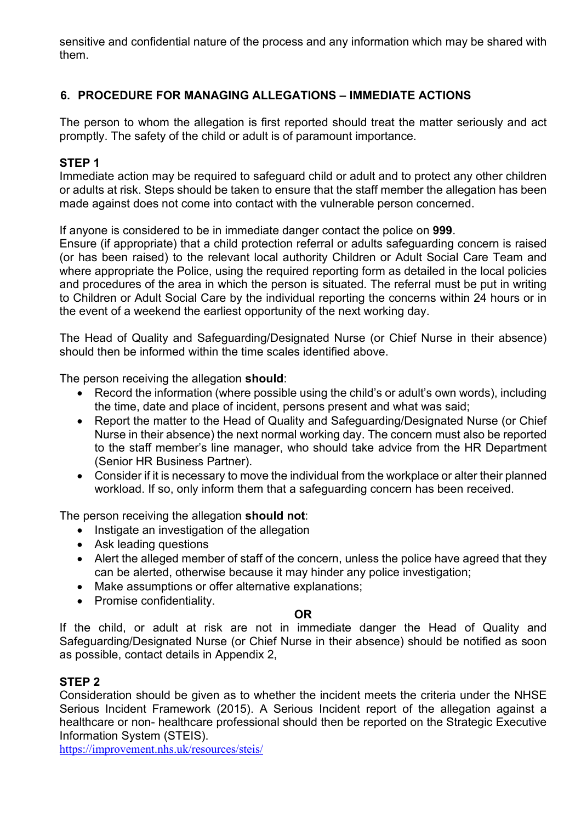sensitive and confidential nature of the process and any information which may be shared with them.

#### <span id="page-8-0"></span>**6. PROCEDURE FOR MANAGING ALLEGATIONS – IMMEDIATE ACTIONS**

The person to whom the allegation is first reported should treat the matter seriously and act promptly. The safety of the child or adult is of paramount importance.

#### **STEP 1**

Immediate action may be required to safeguard child or adult and to protect any other children or adults at risk. Steps should be taken to ensure that the staff member the allegation has been made against does not come into contact with the vulnerable person concerned.

If anyone is considered to be in immediate danger contact the police on **999**.

Ensure (if appropriate) that a child protection referral or adults safeguarding concern is raised (or has been raised) to the relevant local authority Children or Adult Social Care Team and where appropriate the Police, using the required reporting form as detailed in the local policies and procedures of the area in which the person is situated. The referral must be put in writing to Children or Adult Social Care by the individual reporting the concerns within 24 hours or in the event of a weekend the earliest opportunity of the next working day.

The Head of Quality and Safeguarding/Designated Nurse (or Chief Nurse in their absence) should then be informed within the time scales identified above.

The person receiving the allegation **should**:

- Record the information (where possible using the child's or adult's own words), including the time, date and place of incident, persons present and what was said;
- Report the matter to the Head of Quality and Safeguarding/Designated Nurse (or Chief Nurse in their absence) the next normal working day. The concern must also be reported to the staff member's line manager, who should take advice from the HR Department (Senior HR Business Partner).
- Consider if it is necessary to move the individual from the workplace or alter their planned workload. If so, only inform them that a safeguarding concern has been received.

The person receiving the allegation **should not**:

- Instigate an investigation of the allegation
- Ask leading questions
- Alert the alleged member of staff of the concern, unless the police have agreed that they can be alerted, otherwise because it may hinder any police investigation;
- Make assumptions or offer alternative explanations;
- Promise confidentiality.

#### **OR**

If the child, or adult at risk are not in immediate danger the Head of Quality and Safeguarding/Designated Nurse (or Chief Nurse in their absence) should be notified as soon as possible, contact details in Appendix 2,

#### **STEP 2**

Consideration should be given as to whether the incident meets the criteria under the NHSE Serious Incident Framework (2015). A Serious Incident report of the allegation against a healthcare or non- healthcare professional should then be reported on the Strategic Executive Information System (STEIS).

<https://improvement.nhs.uk/resources/steis/>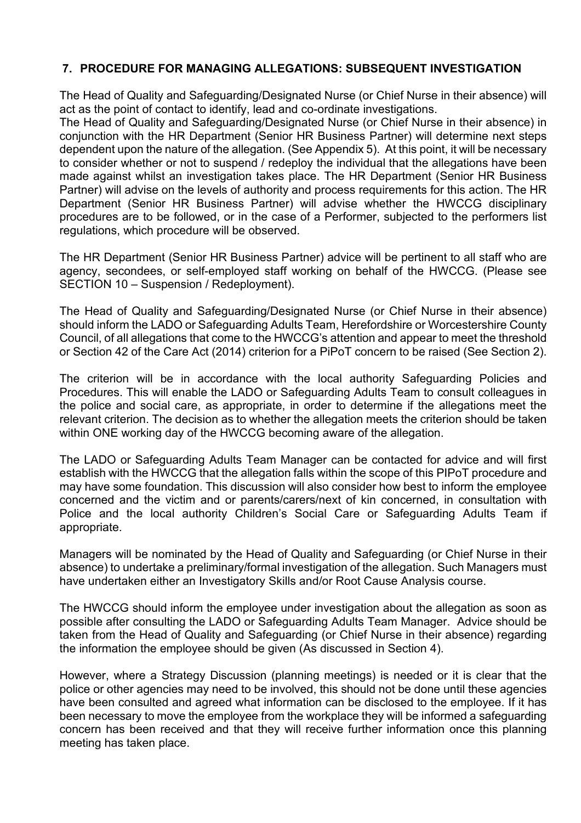#### <span id="page-9-0"></span>**7. PROCEDURE FOR MANAGING ALLEGATIONS: SUBSEQUENT INVESTIGATION**

The Head of Quality and Safeguarding/Designated Nurse (or Chief Nurse in their absence) will act as the point of contact to identify, lead and co-ordinate investigations.

The Head of Quality and Safeguarding/Designated Nurse (or Chief Nurse in their absence) in conjunction with the HR Department (Senior HR Business Partner) will determine next steps dependent upon the nature of the allegation. (See Appendix 5). At this point, it will be necessary to consider whether or not to suspend / redeploy the individual that the allegations have been made against whilst an investigation takes place. The HR Department (Senior HR Business Partner) will advise on the levels of authority and process requirements for this action. The HR Department (Senior HR Business Partner) will advise whether the HWCCG disciplinary procedures are to be followed, or in the case of a Performer, subjected to the performers list regulations, which procedure will be observed.

The HR Department (Senior HR Business Partner) advice will be pertinent to all staff who are agency, secondees, or self-employed staff working on behalf of the HWCCG. (Please see SECTION 10 – Suspension / Redeployment).

The Head of Quality and Safeguarding/Designated Nurse (or Chief Nurse in their absence) should inform the LADO or Safeguarding Adults Team, Herefordshire or Worcestershire County Council, of all allegations that come to the HWCCG's attention and appear to meet the threshold or Section 42 of the Care Act (2014) criterion for a PiPoT concern to be raised (See Section 2).

The criterion will be in accordance with the local authority Safeguarding Policies and Procedures. This will enable the LADO or Safeguarding Adults Team to consult colleagues in the police and social care, as appropriate, in order to determine if the allegations meet the relevant criterion. The decision as to whether the allegation meets the criterion should be taken within ONE working day of the HWCCG becoming aware of the allegation.

The LADO or Safeguarding Adults Team Manager can be contacted for advice and will first establish with the HWCCG that the allegation falls within the scope of this PIPoT procedure and may have some foundation. This discussion will also consider how best to inform the employee concerned and the victim and or parents/carers/next of kin concerned, in consultation with Police and the local authority Children's Social Care or Safeguarding Adults Team if appropriate.

Managers will be nominated by the Head of Quality and Safeguarding (or Chief Nurse in their absence) to undertake a preliminary/formal investigation of the allegation. Such Managers must have undertaken either an Investigatory Skills and/or Root Cause Analysis course.

The HWCCG should inform the employee under investigation about the allegation as soon as possible after consulting the LADO or Safeguarding Adults Team Manager. Advice should be taken from the Head of Quality and Safeguarding (or Chief Nurse in their absence) regarding the information the employee should be given (As discussed in Section 4).

However, where a Strategy Discussion (planning meetings) is needed or it is clear that the police or other agencies may need to be involved, this should not be done until these agencies have been consulted and agreed what information can be disclosed to the employee. If it has been necessary to move the employee from the workplace they will be informed a safeguarding concern has been received and that they will receive further information once this planning meeting has taken place.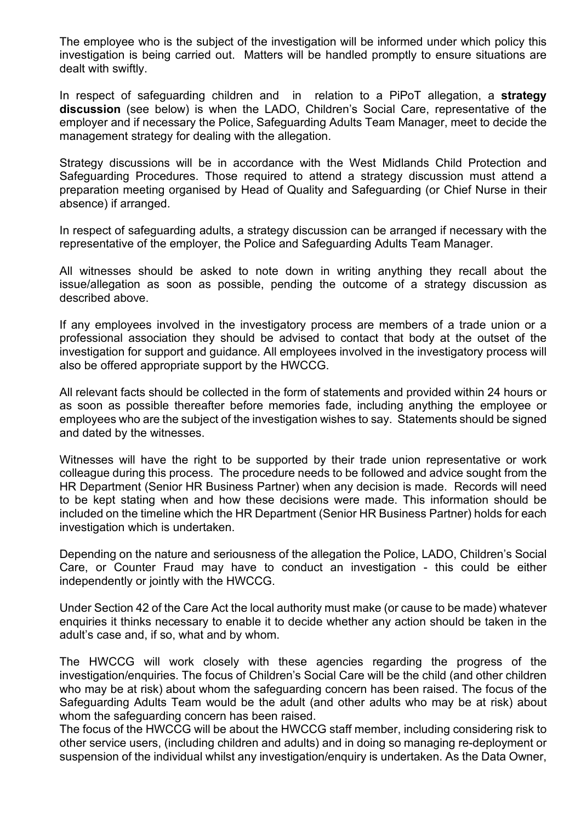The employee who is the subject of the investigation will be informed under which policy this investigation is being carried out. Matters will be handled promptly to ensure situations are dealt with swiftly.

In respect of safeguarding children and in relation to a PiPoT allegation, a **strategy discussion** (see below) is when the LADO, Children's Social Care, representative of the employer and if necessary the Police, Safeguarding Adults Team Manager, meet to decide the management strategy for dealing with the allegation.

Strategy discussions will be in accordance with the West Midlands Child Protection and Safeguarding Procedures. Those required to attend a strategy discussion must attend a preparation meeting organised by Head of Quality and Safeguarding (or Chief Nurse in their absence) if arranged.

In respect of safeguarding adults, a strategy discussion can be arranged if necessary with the representative of the employer, the Police and Safeguarding Adults Team Manager.

All witnesses should be asked to note down in writing anything they recall about the issue/allegation as soon as possible, pending the outcome of a strategy discussion as described above.

If any employees involved in the investigatory process are members of a trade union or a professional association they should be advised to contact that body at the outset of the investigation for support and guidance. All employees involved in the investigatory process will also be offered appropriate support by the HWCCG.

All relevant facts should be collected in the form of statements and provided within 24 hours or as soon as possible thereafter before memories fade, including anything the employee or employees who are the subject of the investigation wishes to say. Statements should be signed and dated by the witnesses.

Witnesses will have the right to be supported by their trade union representative or work colleague during this process. The procedure needs to be followed and advice sought from the HR Department (Senior HR Business Partner) when any decision is made. Records will need to be kept stating when and how these decisions were made. This information should be included on the timeline which the HR Department (Senior HR Business Partner) holds for each investigation which is undertaken.

Depending on the nature and seriousness of the allegation the Police, LADO, Children's Social Care, or Counter Fraud may have to conduct an investigation - this could be either independently or jointly with the HWCCG.

Under Section 42 of the Care Act the local authority must make (or cause to be made) whatever enquiries it thinks necessary to enable it to decide whether any action should be taken in the adult's case and, if so, what and by whom.

The HWCCG will work closely with these agencies regarding the progress of the investigation/enquiries. The focus of Children's Social Care will be the child (and other children who may be at risk) about whom the safeguarding concern has been raised. The focus of the Safeguarding Adults Team would be the adult (and other adults who may be at risk) about whom the safeguarding concern has been raised.

The focus of the HWCCG will be about the HWCCG staff member, including considering risk to other service users, (including children and adults) and in doing so managing re-deployment or suspension of the individual whilst any investigation/enquiry is undertaken. As the Data Owner,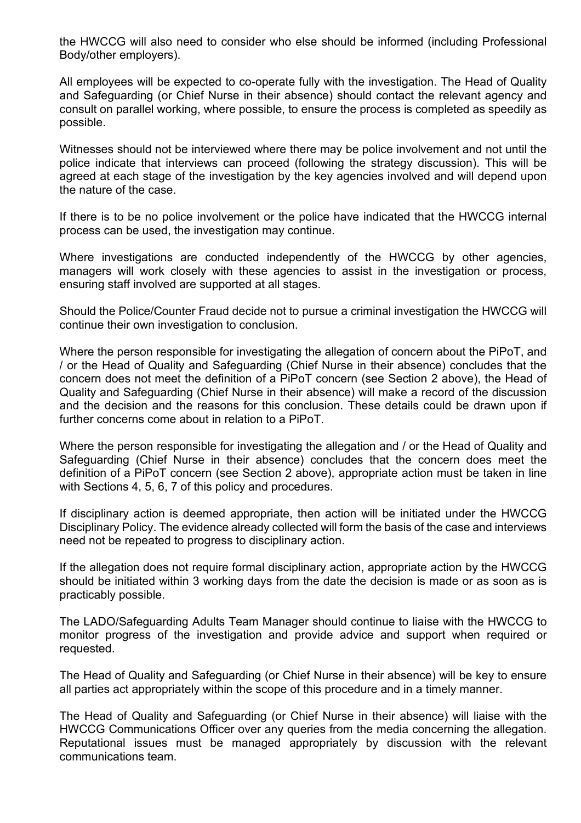the HWCCG will also need to consider who else should be informed (including Professional Body/other employers).

All employees will be expected to co-operate fully with the investigation. The Head of Quality and Safeguarding (or Chief Nurse in their absence) should contact the relevant agency and consult on parallel working, where possible, to ensure the process is completed as speedily as possible.

Witnesses should not be interviewed where there may be police involvement and not until the police indicate that interviews can proceed (following the strategy discussion). This will be agreed at each stage of the investigation by the key agencies involved and will depend upon the nature of the case.

If there is to be no police involvement or the police have indicated that the HWCCG internal process can be used, the investigation may continue.

Where investigations are conducted independently of the HWCCG by other agencies, managers will work closely with these agencies to assist in the investigation or process, ensuring staff involved are supported at all stages.

Should the Police/Counter Fraud decide not to pursue a criminal investigation the HWCCG will continue their own investigation to conclusion.

Where the person responsible for investigating the allegation of concern about the PiPoT, and / or the Head of Quality and Safeguarding (Chief Nurse in their absence) concludes that the concern does not meet the definition of a PiPoT concern (see Section 2 above), the Head of Quality and Safeguarding (Chief Nurse in their absence) will make a record of the discussion and the decision and the reasons for this conclusion. These details could be drawn upon if further concerns come about in relation to a PiPoT.

Where the person responsible for investigating the allegation and / or the Head of Quality and Safeguarding (Chief Nurse in their absence) concludes that the concern does meet the definition of a PiPoT concern (see Section 2 above), appropriate action must be taken in line with Sections 4, 5, 6, 7 of this policy and procedures.

If disciplinary action is deemed appropriate, then action will be initiated under the HWCCG Disciplinary Policy. The evidence already collected will form the basis of the case and interviews need not be repeated to progress to disciplinary action.

If the allegation does not require formal disciplinary action, appropriate action by the HWCCG should be initiated within 3 working days from the date the decision is made or as soon as is practicably possible.

The LADO/Safeguarding Adults Team Manager should continue to liaise with the HWCCG to monitor progress of the investigation and provide advice and support when required or requested.

The Head of Quality and Safeguarding (or Chief Nurse in their absence) will be key to ensure all parties act appropriately within the scope of this procedure and in a timely manner.

The Head of Quality and Safeguarding (or Chief Nurse in their absence) will liaise with the HWCCG Communications Officer over any queries from the media concerning the allegation. Reputational issues must be managed appropriately by discussion with the relevant communications team.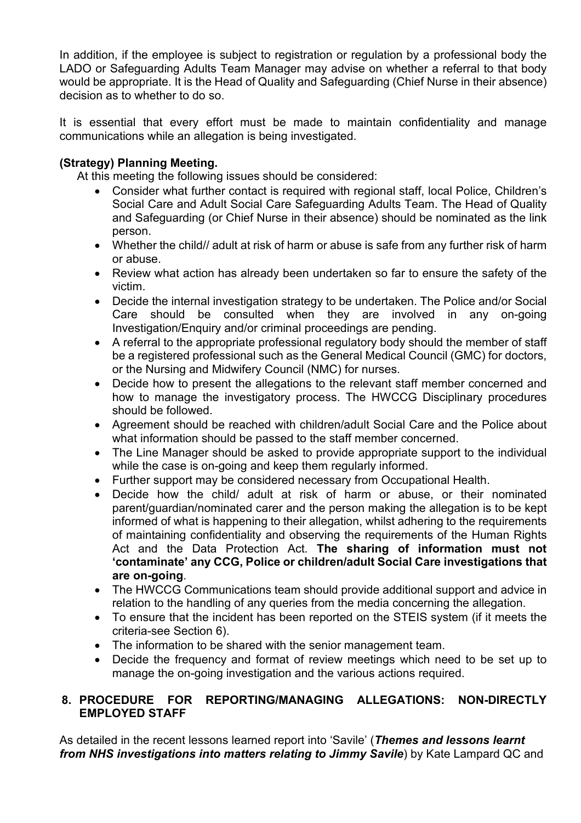In addition, if the employee is subject to registration or regulation by a professional body the LADO or Safeguarding Adults Team Manager may advise on whether a referral to that body would be appropriate. It is the Head of Quality and Safeguarding (Chief Nurse in their absence) decision as to whether to do so.

It is essential that every effort must be made to maintain confidentiality and manage communications while an allegation is being investigated.

#### **(Strategy) Planning Meeting.**

At this meeting the following issues should be considered:

- Consider what further contact is required with regional staff, local Police, Children's Social Care and Adult Social Care Safeguarding Adults Team. The Head of Quality and Safeguarding (or Chief Nurse in their absence) should be nominated as the link person.
- Whether the child// adult at risk of harm or abuse is safe from any further risk of harm or abuse.
- Review what action has already been undertaken so far to ensure the safety of the victim.
- Decide the internal investigation strategy to be undertaken. The Police and/or Social Care should be consulted when they are involved in any on-going Investigation/Enquiry and/or criminal proceedings are pending.
- A referral to the appropriate professional regulatory body should the member of staff be a registered professional such as the General Medical Council (GMC) for doctors, or the Nursing and Midwifery Council (NMC) for nurses.
- Decide how to present the allegations to the relevant staff member concerned and how to manage the investigatory process. The HWCCG Disciplinary procedures should be followed.
- Agreement should be reached with children/adult Social Care and the Police about what information should be passed to the staff member concerned.
- The Line Manager should be asked to provide appropriate support to the individual while the case is on-going and keep them regularly informed.
- Further support may be considered necessary from Occupational Health.
- Decide how the child/ adult at risk of harm or abuse, or their nominated parent/guardian/nominated carer and the person making the allegation is to be kept informed of what is happening to their allegation, whilst adhering to the requirements of maintaining confidentiality and observing the requirements of the Human Rights Act and the Data Protection Act. **The sharing of information must not 'contaminate' any CCG, Police or children/adult Social Care investigations that are on-going**.
- The HWCCG Communications team should provide additional support and advice in relation to the handling of any queries from the media concerning the allegation.
- To ensure that the incident has been reported on the STEIS system (if it meets the criteria-see Section 6).
- The information to be shared with the senior management team.
- Decide the frequency and format of review meetings which need to be set up to manage the on-going investigation and the various actions required.

#### <span id="page-12-0"></span>**8. PROCEDURE FOR REPORTING/MANAGING ALLEGATIONS: NON-DIRECTLY EMPLOYED STAFF**

As detailed in the recent lessons learned report into 'Savile' (*[Themes and lessons learnt](https://www.gov.uk/government/uploads/system/uploads/attachment_data/file/407187/KL_lessons_learned_report_FINAL.pdf)  [from NHS investigations into matters relating to Jimmy Savile](https://www.gov.uk/government/uploads/system/uploads/attachment_data/file/407187/KL_lessons_learned_report_FINAL.pdf)*) by Kate Lampard QC and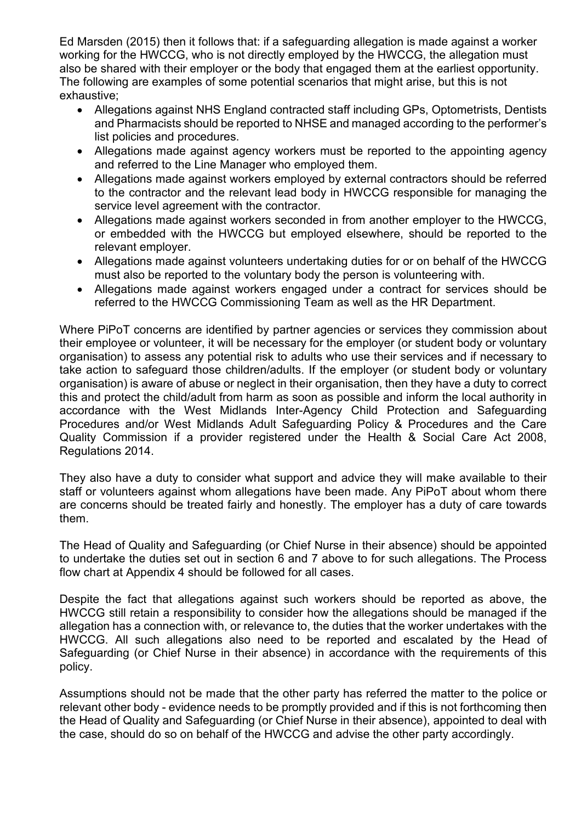Ed Marsden (2015) then it follows that: if a safeguarding allegation is made against a worker working for the HWCCG, who is not directly employed by the HWCCG, the allegation must also be shared with their employer or the body that engaged them at the earliest opportunity. The following are examples of some potential scenarios that might arise, but this is not exhaustive;

- Allegations against NHS England contracted staff including GPs, Optometrists, Dentists and Pharmacists should be reported to NHSE and managed according to the performer's list policies and procedures.
- Allegations made against agency workers must be reported to the appointing agency and referred to the Line Manager who employed them.
- Allegations made against workers employed by external contractors should be referred to the contractor and the relevant lead body in HWCCG responsible for managing the service level agreement with the contractor.
- Allegations made against workers seconded in from another employer to the HWCCG, or embedded with the HWCCG but employed elsewhere, should be reported to the relevant employer.
- Allegations made against volunteers undertaking duties for or on behalf of the HWCCG must also be reported to the voluntary body the person is volunteering with.
- Allegations made against workers engaged under a contract for services should be referred to the HWCCG Commissioning Team as well as the HR Department.

Where PiPoT concerns are identified by partner agencies or services they commission about their employee or volunteer, it will be necessary for the employer (or student body or voluntary organisation) to assess any potential risk to adults who use their services and if necessary to take action to safeguard those children/adults. If the employer (or student body or voluntary organisation) is aware of abuse or neglect in their organisation, then they have a duty to correct this and protect the child/adult from harm as soon as possible and inform the local authority in accordance with the West Midlands Inter-Agency Child Protection and Safeguarding Procedures and/or West Midlands Adult Safeguarding Policy & Procedures and the Care Quality Commission if a provider registered under the Health & Social Care Act 2008, Regulations 2014.

They also have a duty to consider what support and advice they will make available to their staff or volunteers against whom allegations have been made. Any PiPoT about whom there are concerns should be treated fairly and honestly. The employer has a duty of care towards them.

The Head of Quality and Safeguarding (or Chief Nurse in their absence) should be appointed to undertake the duties set out in section 6 and 7 above to for such allegations. The Process flow chart at Appendix 4 should be followed for all cases.

Despite the fact that allegations against such workers should be reported as above, the HWCCG still retain a responsibility to consider how the allegations should be managed if the allegation has a connection with, or relevance to, the duties that the worker undertakes with the HWCCG. All such allegations also need to be reported and escalated by the Head of Safeguarding (or Chief Nurse in their absence) in accordance with the requirements of this policy.

Assumptions should not be made that the other party has referred the matter to the police or relevant other body - evidence needs to be promptly provided and if this is not forthcoming then the Head of Quality and Safeguarding (or Chief Nurse in their absence), appointed to deal with the case, should do so on behalf of the HWCCG and advise the other party accordingly.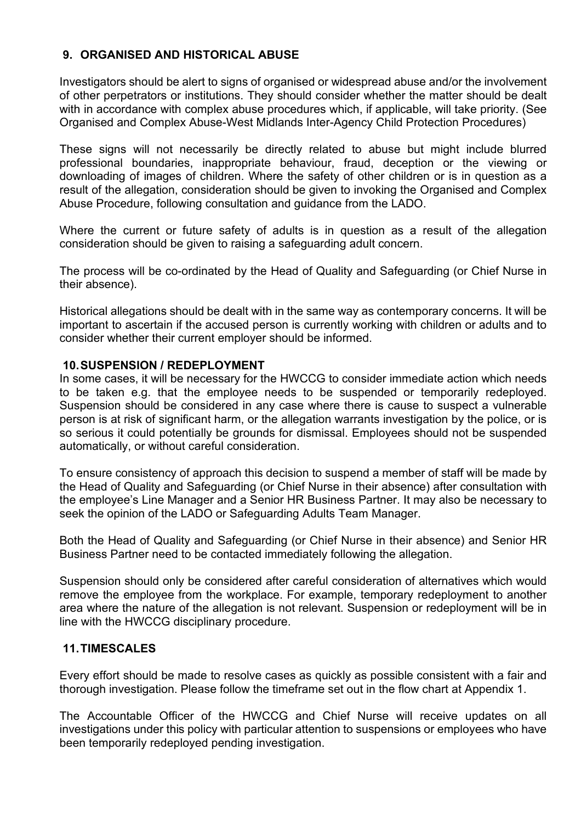#### <span id="page-14-0"></span>**9. ORGANISED AND HISTORICAL ABUSE**

Investigators should be alert to signs of organised or widespread abuse and/or the involvement of other perpetrators or institutions. They should consider whether the matter should be dealt with in accordance with complex abuse procedures which, if applicable, will take priority. (See Organised and Complex Abuse-West Midlands Inter-Agency Child Protection Procedures)

These signs will not necessarily be directly related to abuse but might include blurred professional boundaries, inappropriate behaviour, fraud, deception or the viewing or downloading of images of children. Where the safety of other children or is in question as a result of the allegation, consideration should be given to invoking the Organised and Complex Abuse Procedure, following consultation and guidance from the LADO.

Where the current or future safety of adults is in question as a result of the allegation consideration should be given to raising a safeguarding adult concern.

The process will be co-ordinated by the Head of Quality and Safeguarding (or Chief Nurse in their absence).

Historical allegations should be dealt with in the same way as contemporary concerns. It will be important to ascertain if the accused person is currently working with children or adults and to consider whether their current employer should be informed.

#### <span id="page-14-1"></span>**10.SUSPENSION / REDEPLOYMENT**

In some cases, it will be necessary for the HWCCG to consider immediate action which needs to be taken e.g. that the employee needs to be suspended or temporarily redeployed. Suspension should be considered in any case where there is cause to suspect a vulnerable person is at risk of significant harm, or the allegation warrants investigation by the police, or is so serious it could potentially be grounds for dismissal. Employees should not be suspended automatically, or without careful consideration.

To ensure consistency of approach this decision to suspend a member of staff will be made by the Head of Quality and Safeguarding (or Chief Nurse in their absence) after consultation with the employee's Line Manager and a Senior HR Business Partner. It may also be necessary to seek the opinion of the LADO or Safeguarding Adults Team Manager.

Both the Head of Quality and Safeguarding (or Chief Nurse in their absence) and Senior HR Business Partner need to be contacted immediately following the allegation.

Suspension should only be considered after careful consideration of alternatives which would remove the employee from the workplace. For example, temporary redeployment to another area where the nature of the allegation is not relevant. Suspension or redeployment will be in line with the HWCCG disciplinary procedure.

#### <span id="page-14-2"></span>**11.TIMESCALES**

Every effort should be made to resolve cases as quickly as possible consistent with a fair and thorough investigation. Please follow the timeframe set out in the flow chart at Appendix 1.

The Accountable Officer of the HWCCG and Chief Nurse will receive updates on all investigations under this policy with particular attention to suspensions or employees who have been temporarily redeployed pending investigation.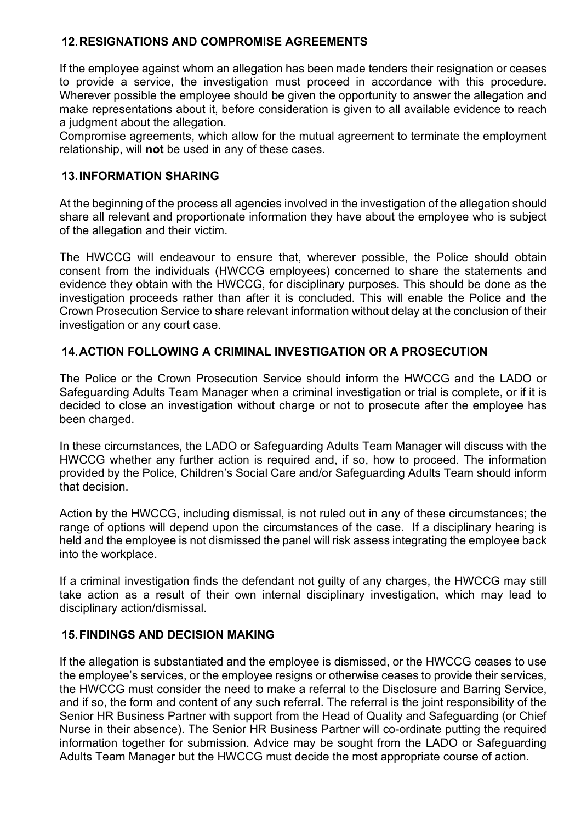#### <span id="page-15-0"></span>**12.RESIGNATIONS AND COMPROMISE AGREEMENTS**

If the employee against whom an allegation has been made tenders their resignation or ceases to provide a service, the investigation must proceed in accordance with this procedure. Wherever possible the employee should be given the opportunity to answer the allegation and make representations about it, before consideration is given to all available evidence to reach a judgment about the allegation.

Compromise agreements, which allow for the mutual agreement to terminate the employment relationship, will **not** be used in any of these cases.

#### <span id="page-15-1"></span>**13.INFORMATION SHARING**

At the beginning of the process all agencies involved in the investigation of the allegation should share all relevant and proportionate information they have about the employee who is subject of the allegation and their victim.

The HWCCG will endeavour to ensure that, wherever possible, the Police should obtain consent from the individuals (HWCCG employees) concerned to share the statements and evidence they obtain with the HWCCG, for disciplinary purposes. This should be done as the investigation proceeds rather than after it is concluded. This will enable the Police and the Crown Prosecution Service to share relevant information without delay at the conclusion of their investigation or any court case.

#### <span id="page-15-2"></span>**14.ACTION FOLLOWING A CRIMINAL INVESTIGATION OR A PROSECUTION**

The Police or the Crown Prosecution Service should inform the HWCCG and the LADO or Safeguarding Adults Team Manager when a criminal investigation or trial is complete, or if it is decided to close an investigation without charge or not to prosecute after the employee has been charged.

In these circumstances, the LADO or Safeguarding Adults Team Manager will discuss with the HWCCG whether any further action is required and, if so, how to proceed. The information provided by the Police, Children's Social Care and/or Safeguarding Adults Team should inform that decision.

Action by the HWCCG, including dismissal, is not ruled out in any of these circumstances; the range of options will depend upon the circumstances of the case. If a disciplinary hearing is held and the employee is not dismissed the panel will risk assess integrating the employee back into the workplace.

If a criminal investigation finds the defendant not guilty of any charges, the HWCCG may still take action as a result of their own internal disciplinary investigation, which may lead to disciplinary action/dismissal.

#### <span id="page-15-3"></span>**15.FINDINGS AND DECISION MAKING**

If the allegation is substantiated and the employee is dismissed, or the HWCCG ceases to use the employee's services, or the employee resigns or otherwise ceases to provide their services, the HWCCG must consider the need to make a referral to the Disclosure and Barring Service, and if so, the form and content of any such referral. The referral is the joint responsibility of the Senior HR Business Partner with support from the Head of Quality and Safeguarding (or Chief Nurse in their absence). The Senior HR Business Partner will co-ordinate putting the required information together for submission. Advice may be sought from the LADO or Safeguarding Adults Team Manager but the HWCCG must decide the most appropriate course of action.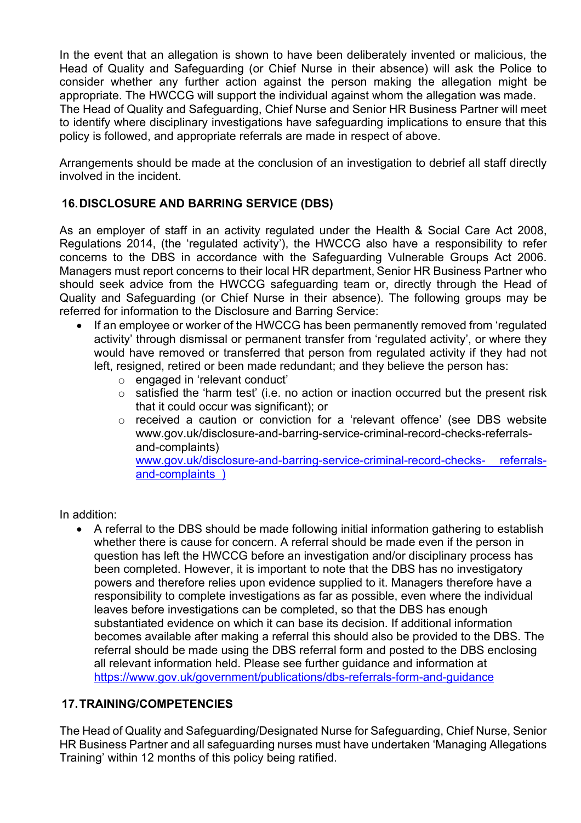In the event that an allegation is shown to have been deliberately invented or malicious, the Head of Quality and Safeguarding (or Chief Nurse in their absence) will ask the Police to consider whether any further action against the person making the allegation might be appropriate. The HWCCG will support the individual against whom the allegation was made. The Head of Quality and Safeguarding, Chief Nurse and Senior HR Business Partner will meet to identify where disciplinary investigations have safeguarding implications to ensure that this policy is followed, and appropriate referrals are made in respect of above.

Arrangements should be made at the conclusion of an investigation to debrief all staff directly involved in the incident.

#### <span id="page-16-0"></span>**16.DISCLOSURE AND BARRING SERVICE (DBS)**

As an employer of staff in an activity regulated under the Health & Social Care Act 2008, Regulations 2014, (the 'regulated activity'), the HWCCG also have a responsibility to refer concerns to the DBS in accordance with the Safeguarding Vulnerable Groups Act 2006. Managers must report concerns to their local HR department, Senior HR Business Partner who should seek advice from the HWCCG safeguarding team or, directly through the Head of Quality and Safeguarding (or Chief Nurse in their absence). The following groups may be referred for information to the Disclosure and Barring Service:

- If an employee or worker of the HWCCG has been permanently removed from 'regulated activity' through dismissal or permanent transfer from 'regulated activity', or where they would have removed or transferred that person from regulated activity if they had not left, resigned, retired or been made redundant; and they believe the person has:
	- o engaged in 'relevant conduct'
	- o satisfied the 'harm test' (i.e. no action or inaction occurred but the present risk that it could occur was significant); or
	- o received a caution or conviction for a 'relevant offence' (see DBS website www.gov.uk/disclosure-and-barring-service-criminal-record-checks-referralsand-complaints) [www.gov.uk/disclosure-and-barring-service-criminal-record-checks-](http://www.gov.uk/disclosure-and-barring-service-criminal-record-checks-%20referrals-and-complaints%20%20)) referrals-

[and-complaints \)](http://www.gov.uk/disclosure-and-barring-service-criminal-record-checks-%20referrals-and-complaints%20%20))

In addition:

• A referral to the DBS should be made following initial information gathering to establish whether there is cause for concern. A referral should be made even if the person in question has left the HWCCG before an investigation and/or disciplinary process has been completed. However, it is important to note that the DBS has no investigatory powers and therefore relies upon evidence supplied to it. Managers therefore have a responsibility to complete investigations as far as possible, even where the individual leaves before investigations can be completed, so that the DBS has enough substantiated evidence on which it can base its decision. If additional information becomes available after making a referral this should also be provided to the DBS. The referral should be made using the DBS referral form and posted to the DBS enclosing all relevant information held. Please see further guidance and information at <https://www.gov.uk/government/publications/dbs-referrals-form-and-guidance>

#### <span id="page-16-1"></span>**17.TRAINING/COMPETENCIES**

The Head of Quality and Safeguarding/Designated Nurse for Safeguarding, Chief Nurse, Senior HR Business Partner and all safeguarding nurses must have undertaken 'Managing Allegations Training' within 12 months of this policy being ratified.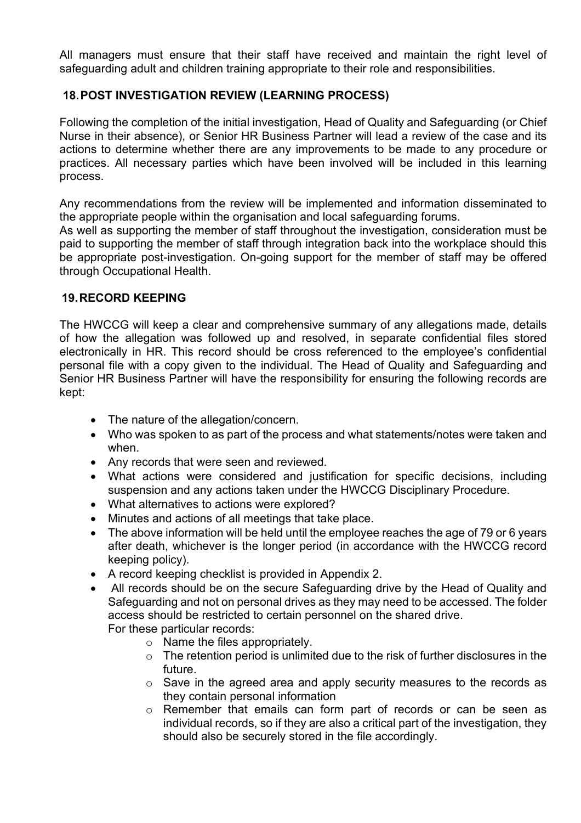All managers must ensure that their staff have received and maintain the right level of safeguarding adult and children training appropriate to their role and responsibilities.

#### <span id="page-17-0"></span>**18.POST INVESTIGATION REVIEW (LEARNING PROCESS)**

Following the completion of the initial investigation, Head of Quality and Safeguarding (or Chief Nurse in their absence), or Senior HR Business Partner will lead a review of the case and its actions to determine whether there are any improvements to be made to any procedure or practices. All necessary parties which have been involved will be included in this learning process.

Any recommendations from the review will be implemented and information disseminated to the appropriate people within the organisation and local safeguarding forums.

As well as supporting the member of staff throughout the investigation, consideration must be paid to supporting the member of staff through integration back into the workplace should this be appropriate post-investigation. On-going support for the member of staff may be offered through Occupational Health.

#### <span id="page-17-1"></span>**19.RECORD KEEPING**

The HWCCG will keep a clear and comprehensive summary of any allegations made, details of how the allegation was followed up and resolved, in separate confidential files stored electronically in HR. This record should be cross referenced to the employee's confidential personal file with a copy given to the individual. The Head of Quality and Safeguarding and Senior HR Business Partner will have the responsibility for ensuring the following records are kept:

- The nature of the allegation/concern.
- Who was spoken to as part of the process and what statements/notes were taken and when.
- Any records that were seen and reviewed.
- What actions were considered and justification for specific decisions, including suspension and any actions taken under the HWCCG Disciplinary Procedure.
- What alternatives to actions were explored?
- Minutes and actions of all meetings that take place.
- The above information will be held until the employee reaches the age of 79 or 6 years after death, whichever is the longer period (in accordance with the HWCCG record keeping policy).
- A record keeping checklist is provided in Appendix 2.
- All records should be on the secure Safeguarding drive by the Head of Quality and Safeguarding and not on personal drives as they may need to be accessed. The folder access should be restricted to certain personnel on the shared drive. For these particular records:
	- o Name the files appropriately.
	- o The retention period is unlimited due to the risk of further disclosures in the future.
	- $\circ$  Save in the agreed area and apply security measures to the records as they contain personal information
	- o Remember that emails can form part of records or can be seen as individual records, so if they are also a critical part of the investigation, they should also be securely stored in the file accordingly.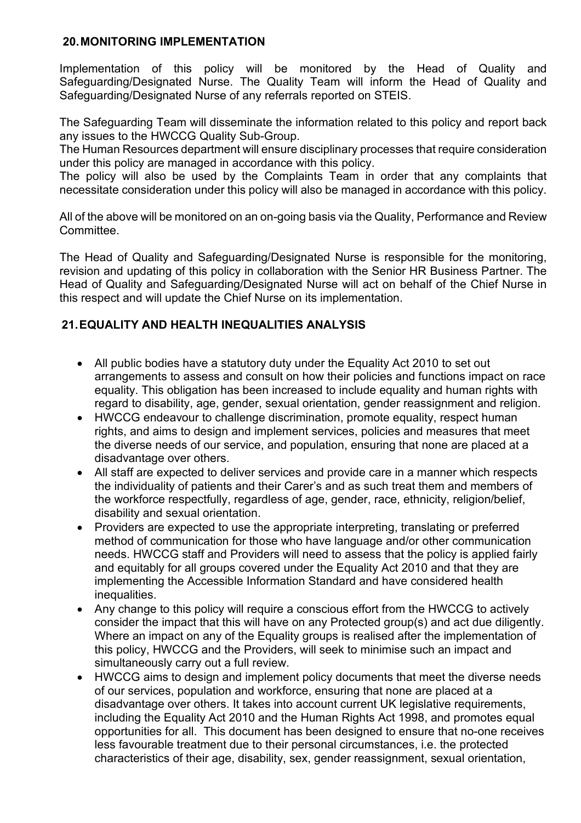#### <span id="page-18-0"></span>**20.MONITORING IMPLEMENTATION**

Implementation of this policy will be monitored by the Head of Quality and Safeguarding/Designated Nurse. The Quality Team will inform the Head of Quality and Safeguarding/Designated Nurse of any referrals reported on STEIS.

The Safeguarding Team will disseminate the information related to this policy and report back any issues to the HWCCG Quality Sub-Group.

The Human Resources department will ensure disciplinary processes that require consideration under this policy are managed in accordance with this policy.

The policy will also be used by the Complaints Team in order that any complaints that necessitate consideration under this policy will also be managed in accordance with this policy.

All of the above will be monitored on an on-going basis via the Quality, Performance and Review Committee.

The Head of Quality and Safeguarding/Designated Nurse is responsible for the monitoring, revision and updating of this policy in collaboration with the Senior HR Business Partner. The Head of Quality and Safeguarding/Designated Nurse will act on behalf of the Chief Nurse in this respect and will update the Chief Nurse on its implementation.

#### <span id="page-18-1"></span>**21.EQUALITY AND HEALTH INEQUALITIES ANALYSIS**

- All public bodies have a statutory duty under the Equality Act 2010 to set out arrangements to assess and consult on how their policies and functions impact on race equality. This obligation has been increased to include equality and human rights with regard to disability, age, gender, sexual orientation, gender reassignment and religion.
- HWCCG endeavour to challenge discrimination, promote equality, respect human rights, and aims to design and implement services, policies and measures that meet the diverse needs of our service, and population, ensuring that none are placed at a disadvantage over others.
- All staff are expected to deliver services and provide care in a manner which respects the individuality of patients and their Carer's and as such treat them and members of the workforce respectfully, regardless of age, gender, race, ethnicity, religion/belief, disability and sexual orientation.
- Providers are expected to use the appropriate interpreting, translating or preferred method of communication for those who have language and/or other communication needs. HWCCG staff and Providers will need to assess that the policy is applied fairly and equitably for all groups covered under the Equality Act 2010 and that they are implementing the Accessible Information Standard and have considered health inequalities.
- Any change to this policy will require a conscious effort from the HWCCG to actively consider the impact that this will have on any Protected group(s) and act due diligently. Where an impact on any of the Equality groups is realised after the implementation of this policy, HWCCG and the Providers, will seek to minimise such an impact and simultaneously carry out a full review.
- HWCCG aims to design and implement policy documents that meet the diverse needs of our services, population and workforce, ensuring that none are placed at a disadvantage over others. It takes into account current UK legislative requirements, including the Equality Act 2010 and the Human Rights Act 1998, and promotes equal opportunities for all. This document has been designed to ensure that no-one receives less favourable treatment due to their personal circumstances, i.e. the protected characteristics of their age, disability, sex, gender reassignment, sexual orientation,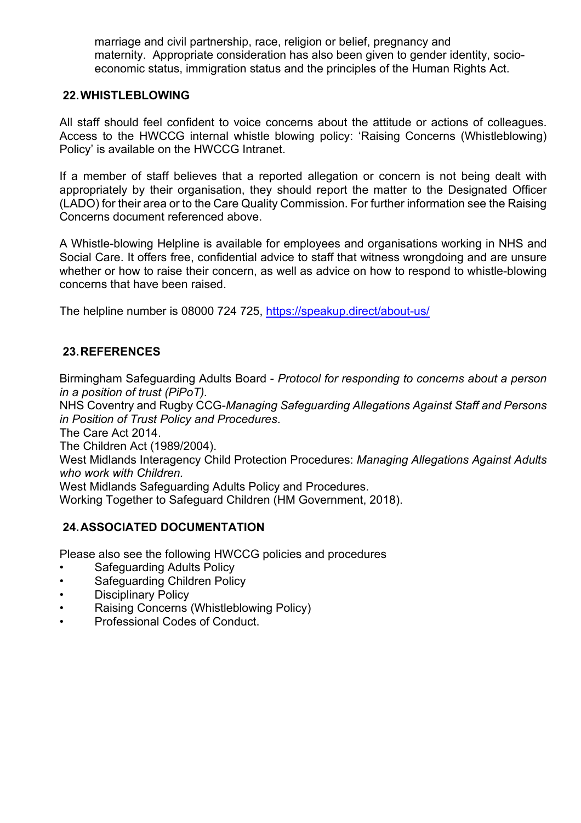marriage and civil partnership, race, religion or belief, pregnancy and maternity. Appropriate consideration has also been given to gender identity, socioeconomic status, immigration status and the principles of the Human Rights Act.

#### <span id="page-19-0"></span>**22.WHISTLEBLOWING**

All staff should feel confident to voice concerns about the attitude or actions of colleagues. Access to the HWCCG internal whistle blowing policy: 'Raising Concerns (Whistleblowing) Policy' is available on the HWCCG Intranet.

If a member of staff believes that a reported allegation or concern is not being dealt with appropriately by their organisation, they should report the matter to the Designated Officer (LADO) for their area or to the Care Quality Commission. For further information see the Raising Concerns document referenced above.

A Whistle-blowing Helpline is available for employees and organisations working in NHS and Social Care. It offers free, confidential advice to staff that witness wrongdoing and are unsure whether or how to raise their concern, as well as advice on how to respond to whistle-blowing concerns that have been raised.

The helpline number is 08000 724 725,<https://speakup.direct/about-us/>

#### <span id="page-19-1"></span>**23.REFERENCES**

Birmingham Safeguarding Adults Board - *Protocol for responding to concerns about a person in a position of trust (PiPoT).*

NHS Coventry and Rugby CCG-*Managing Safeguarding Allegations Against Staff and Persons in Position of Trust Policy and Procedures*.

The Care Act 2014.

The Children Act (1989/2004).

West Midlands Interagency Child Protection Procedures: *Managing Allegations Against Adults who work with Children.*

West Midlands Safeguarding Adults Policy and Procedures.

Working Together to Safeguard Children (HM Government, 2018).

#### <span id="page-19-2"></span>**24.ASSOCIATED DOCUMENTATION**

Please also see the following HWCCG policies and procedures

- Safeguarding Adults Policy
- Safeguarding Children Policy
- Disciplinary Policy
- Raising Concerns (Whistleblowing Policy)
- Professional Codes of Conduct.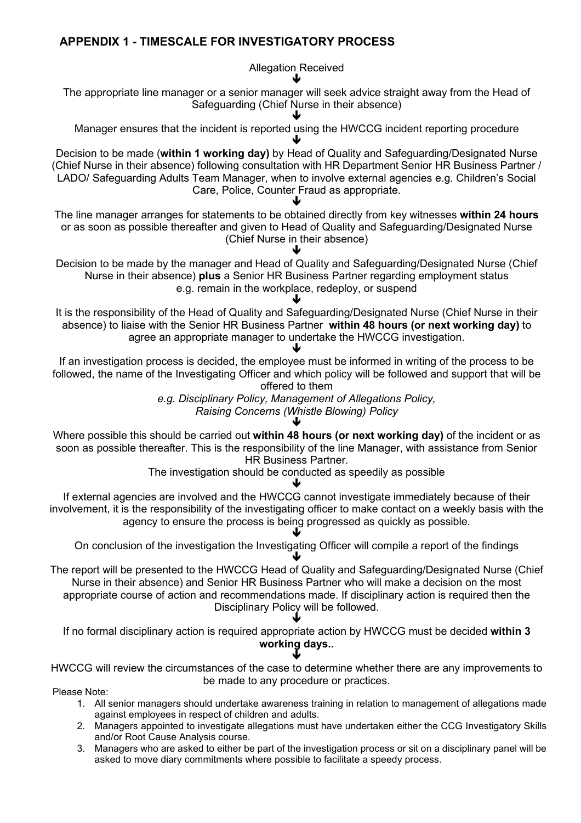#### <span id="page-20-0"></span>**APPENDIX 1 - TIMESCALE FOR INVESTIGATORY PROCESS**

Allegation Received  $\blacktriangledown$ 

The appropriate line manager or a senior manager will seek advice straight away from the Head of Safeguarding (Chief Nurse in their absence)

 $\blacktriangledown$ Manager ensures that the incident is reported using the HWCCG incident reporting procedure

 $\blacktriangledown$ Decision to be made (**within 1 working day)** by Head of Quality and Safeguarding/Designated Nurse (Chief Nurse in their absence) following consultation with HR Department Senior HR Business Partner / LADO/ Safeguarding Adults Team Manager, when to involve external agencies e.g. Children's Social Care, Police, Counter Fraud as appropriate.

 $\blacktriangledown$ The line manager arranges for statements to be obtained directly from key witnesses **within 24 hours** or as soon as possible thereafter and given to Head of Quality and Safeguarding/Designated Nurse (Chief Nurse in their absence)

 $\blacktriangledown$ Decision to be made by the manager and Head of Quality and Safeguarding/Designated Nurse (Chief Nurse in their absence) **plus** a Senior HR Business Partner regarding employment status e.g. remain in the workplace, redeploy, or suspend

 $\blacktriangledown$ It is the responsibility of the Head of Quality and Safeguarding/Designated Nurse (Chief Nurse in their absence) to liaise with the Senior HR Business Partner **within 48 hours (or next working day)** to agree an appropriate manager to undertake the HWCCG investigation.

 $\blacktriangledown$ If an investigation process is decided, the employee must be informed in writing of the process to be followed, the name of the Investigating Officer and which policy will be followed and support that will be offered to them

*e.g. Disciplinary Policy, Management of Allegations Policy, Raising Concerns (Whistle Blowing) Policy*

 $\blacktriangledown$ Where possible this should be carried out **within 48 hours (or next working day)** of the incident or as soon as possible thereafter. This is the responsibility of the line Manager, with assistance from Senior HR Business Partner.

The investigation should be conducted as speedily as possible

 $\blacktriangledown$ 

If external agencies are involved and the HWCCG cannot investigate immediately because of their involvement, it is the responsibility of the investigating officer to make contact on a weekly basis with the agency to ensure the process is being progressed as quickly as possible.

 $\blacktriangledown$ On conclusion of the investigation the Investigating Officer will compile a report of the findings  $\blacklozenge$ 

The report will be presented to the HWCCG Head of Quality and Safeguarding/Designated Nurse (Chief Nurse in their absence) and Senior HR Business Partner who will make a decision on the most appropriate course of action and recommendations made. If disciplinary action is required then the Disciplinary Policy will be followed.

 $\blacklozenge$ If no formal disciplinary action is required appropriate action by HWCCG must be decided **within 3 working days..**

 $\blacklozenge$ HWCCG will review the circumstances of the case to determine whether there are any improvements to be made to any procedure or practices.

Please Note:

- 1. All senior managers should undertake awareness training in relation to management of allegations made against employees in respect of children and adults.
- 2. Managers appointed to investigate allegations must have undertaken either the CCG Investigatory Skills and/or Root Cause Analysis course.
- 3. Managers who are asked to either be part of the investigation process or sit on a disciplinary panel will be asked to move diary commitments where possible to facilitate a speedy process.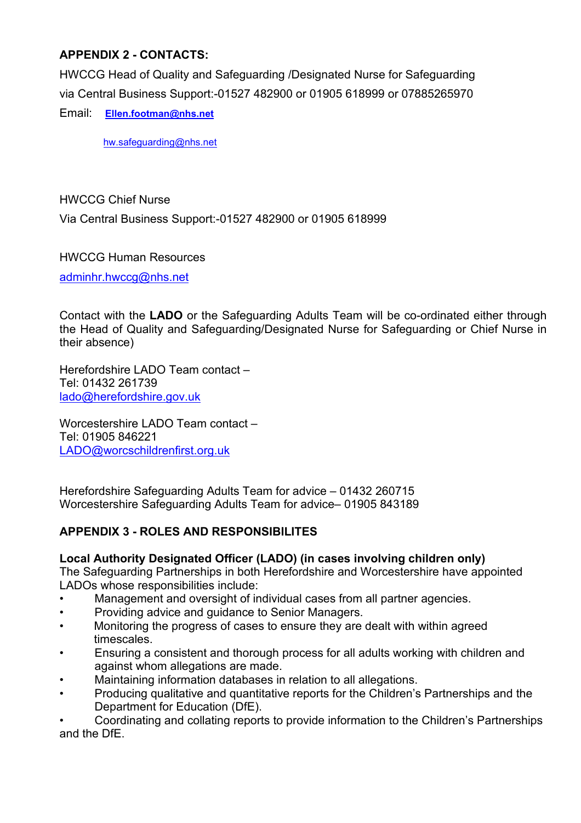#### <span id="page-21-0"></span>**APPENDIX 2 - CONTACTS:**

HWCCG Head of Quality and Safeguarding /Designated Nurse for Safeguarding via Central Business Support:-01527 482900 or 01905 618999 or 07885265970

Email: **[Ellen.footman@nhs.net](mailto:Ellen.footman@nhs.net)**

[hw.safeguarding@nhs.net](mailto:hw.safeguarding@nhs.net)

HWCCG Chief Nurse

Via Central Business Support:-01527 482900 or 01905 618999

HWCCG Human Resources

[adminhr.hwccg@nhs.net](mailto:adminhr.hwccg@nhs.net)

Contact with the **LADO** or the Safeguarding Adults Team will be co-ordinated either through the Head of Quality and Safeguarding/Designated Nurse for Safeguarding or Chief Nurse in their absence)

Herefordshire LADO Team contact – Tel: 01432 261739 [lado@herefordshire.gov.uk](mailto:lado@herefordshire.gov.uk)

Worcestershire LADO Team contact – Tel: 01905 846221 [LADO@worcschildrenfirst.org.uk](mailto:LADO@worcschildrenfirst.org.uk)

Herefordshire Safeguarding Adults Team for advice – 01432 260715 Worcestershire Safeguarding Adults Team for advice– 01905 843189

#### <span id="page-21-1"></span>**APPENDIX 3 - ROLES AND RESPONSIBILITES**

#### **Local Authority Designated Officer (LADO) (in cases involving children only)**

The Safeguarding Partnerships in both Herefordshire and Worcestershire have appointed LADOs whose responsibilities include:

- Management and oversight of individual cases from all partner agencies.
- Providing advice and guidance to Senior Managers.
- Monitoring the progress of cases to ensure they are dealt with within agreed timescales.
- Ensuring a consistent and thorough process for all adults working with children and against whom allegations are made.
- Maintaining information databases in relation to all allegations.
- Producing qualitative and quantitative reports for the Children's Partnerships and the Department for Education (DfE).

• Coordinating and collating reports to provide information to the Children's Partnerships and the DfE.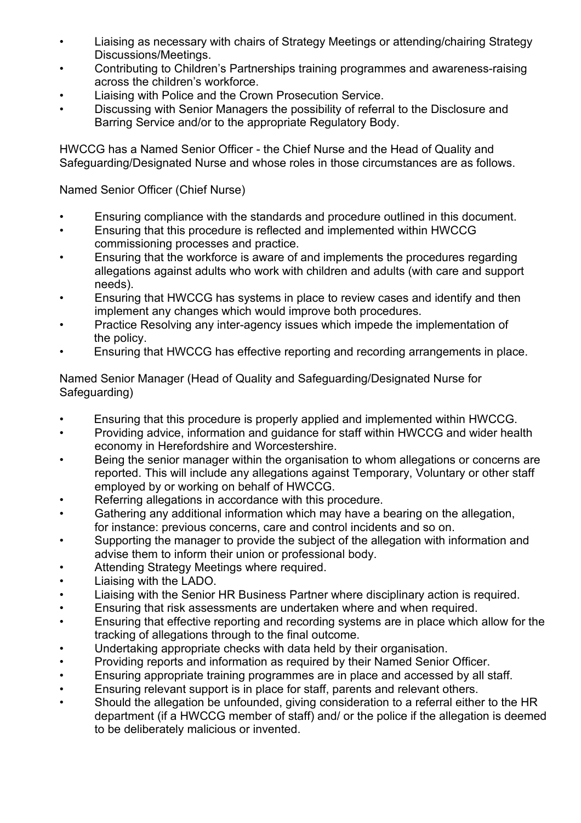- Liaising as necessary with chairs of Strategy Meetings or attending/chairing Strategy Discussions/Meetings.
- Contributing to Children's Partnerships training programmes and awareness-raising across the children's workforce.
- Liaising with Police and the Crown Prosecution Service.
- Discussing with Senior Managers the possibility of referral to the Disclosure and Barring Service and/or to the appropriate Regulatory Body.

HWCCG has a Named Senior Officer - the Chief Nurse and the Head of Quality and Safeguarding/Designated Nurse and whose roles in those circumstances are as follows.

Named Senior Officer (Chief Nurse)

- Ensuring compliance with the standards and procedure outlined in this document.
- Ensuring that this procedure is reflected and implemented within HWCCG commissioning processes and practice.
- Ensuring that the workforce is aware of and implements the procedures regarding allegations against adults who work with children and adults (with care and support needs).
- Ensuring that HWCCG has systems in place to review cases and identify and then implement any changes which would improve both procedures.
- Practice Resolving any inter-agency issues which impede the implementation of the policy.
- Ensuring that HWCCG has effective reporting and recording arrangements in place.

Named Senior Manager (Head of Quality and Safeguarding/Designated Nurse for Safeguarding)

- Ensuring that this procedure is properly applied and implemented within HWCCG.
- Providing advice, information and guidance for staff within HWCCG and wider health economy in Herefordshire and Worcestershire.
- Being the senior manager within the organisation to whom allegations or concerns are reported. This will include any allegations against Temporary, Voluntary or other staff employed by or working on behalf of HWCCG.
- Referring allegations in accordance with this procedure.
- Gathering any additional information which may have a bearing on the allegation, for instance: previous concerns, care and control incidents and so on.
- Supporting the manager to provide the subject of the allegation with information and advise them to inform their union or professional body.
- Attending Strategy Meetings where required.
- Liaising with the LADO.
- Liaising with the Senior HR Business Partner where disciplinary action is required.
- Ensuring that risk assessments are undertaken where and when required.
- Ensuring that effective reporting and recording systems are in place which allow for the tracking of allegations through to the final outcome.
- Undertaking appropriate checks with data held by their organisation.
- Providing reports and information as required by their Named Senior Officer.
- Ensuring appropriate training programmes are in place and accessed by all staff.
- Ensuring relevant support is in place for staff, parents and relevant others.
- Should the allegation be unfounded, giving consideration to a referral either to the HR department (if a HWCCG member of staff) and/ or the police if the allegation is deemed to be deliberately malicious or invented.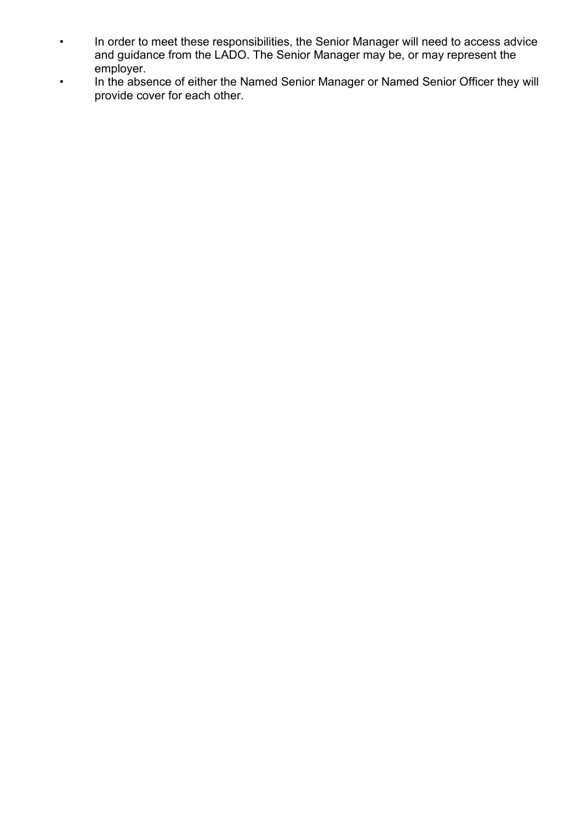- In order to meet these responsibilities, the Senior Manager will need to access advice and guidance from the LADO. The Senior Manager may be, or may represent the employer.
- In the absence of either the Named Senior Manager or Named Senior Officer they will provide cover for each other.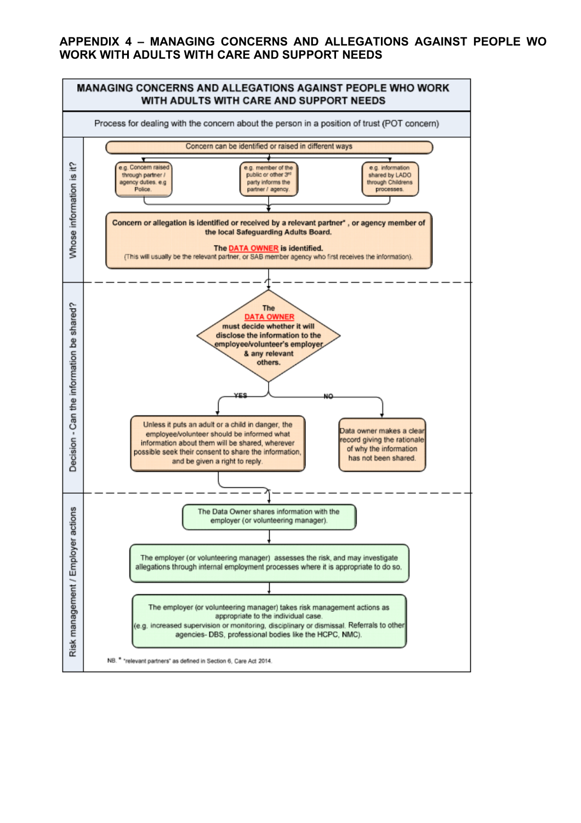#### <span id="page-24-0"></span>**APPENDIX 4 – MANAGING CONCERNS AND ALLEGATIONS AGAINST PEOPLE WO WORK WITH ADULTS WITH CARE AND SUPPORT NEEDS**

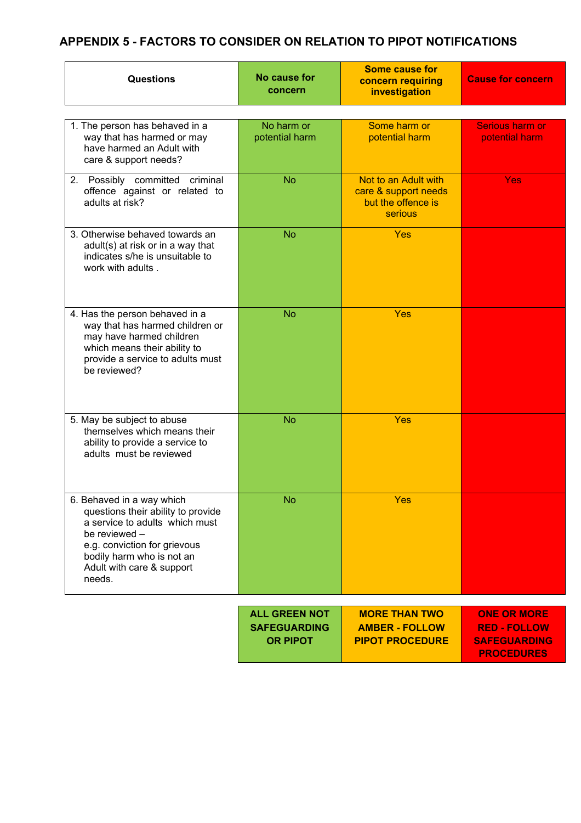### <span id="page-25-0"></span>**APPENDIX 5 - FACTORS TO CONSIDER ON RELATION TO PIPOT NOTIFICATIONS**

| Questions                                                                                                                                                                                                              | No cause for<br>concern                | <b>Some cause for</b><br>concern requiring<br>investigation                   | <b>Cause for concern</b>                   |
|------------------------------------------------------------------------------------------------------------------------------------------------------------------------------------------------------------------------|----------------------------------------|-------------------------------------------------------------------------------|--------------------------------------------|
|                                                                                                                                                                                                                        |                                        |                                                                               |                                            |
| 1. The person has behaved in a<br>way that has harmed or may<br>have harmed an Adult with<br>care & support needs?                                                                                                     | No harm or<br>potential harm           | Some harm or<br>potential harm                                                | Serious harm or<br>potential harm          |
| 2. Possibly committed criminal<br>offence against or related to<br>adults at risk?                                                                                                                                     | <b>No</b>                              | Not to an Adult with<br>care & support needs<br>but the offence is<br>serious | <b>Yes</b>                                 |
| 3. Otherwise behaved towards an<br>adult(s) at risk or in a way that<br>indicates s/he is unsuitable to<br>work with adults.                                                                                           | <b>No</b>                              | Yes                                                                           |                                            |
| 4. Has the person behaved in a<br>way that has harmed children or<br>may have harmed children<br>which means their ability to<br>provide a service to adults must<br>be reviewed?                                      | <b>No</b>                              | Yes                                                                           |                                            |
| 5. May be subject to abuse<br>themselves which means their<br>ability to provide a service to<br>adults must be reviewed                                                                                               | <b>No</b>                              | Yes                                                                           |                                            |
| 6. Behaved in a way which<br>questions their ability to provide<br>a service to adults which must<br>be reviewed -<br>e.g. conviction for grievous<br>bodily harm who is not an<br>Adult with care & support<br>needs. | <b>No</b>                              | <b>Yes</b>                                                                    |                                            |
|                                                                                                                                                                                                                        | <b>ALL GREEN NOT</b>                   | <b>MORE THAN TWO</b>                                                          | <b>ONE OR MORE</b>                         |
|                                                                                                                                                                                                                        | <b>SAFEGUARDING</b><br><b>OR PIPOT</b> | <b>AMBER - FOLLOW</b><br><b>PIPOT PROCEDURE</b>                               | <b>RED - FOLLOW</b><br><b>SAFEGUARDING</b> |

**PROCEDURES**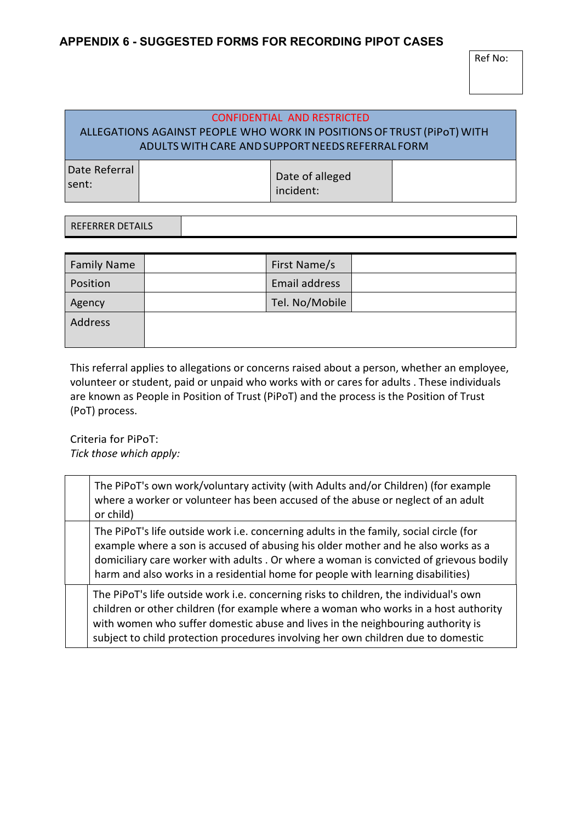#### <span id="page-26-0"></span>**APPENDIX 6 - SUGGESTED FORMS FOR RECORDING PIPOT CASES**

Ref No:

#### CONFIDENTIAL AND RESTRICTED ALLEGATIONS AGAINST PEOPLE WHO WORK IN POSITIONSOF TRUST (PiPoT) WITH ADULTS WITH CARE AND SUPPORT NEEDS REFERRAL FORM Date Referral Т Π

| TDALE REIEITAL<br>Isent: | Date of alleged<br>incident: |  |
|--------------------------|------------------------------|--|
|                          |                              |  |

| <b>Family Name</b> | First Name/s   |  |
|--------------------|----------------|--|
| Position           | Email address  |  |
| Agency             | Tel. No/Mobile |  |
| Address            |                |  |

This referral applies to allegations or concerns raised about a person, whether an employee, volunteer or student, paid or unpaid who works with or cares for adults . These individuals are known as People in Position of Trust (PiPoT) and the process is the Position of Trust (PoT) process.

Criteria for PiPoT: *Tick those which apply:*

| The PiPoT's own work/voluntary activity (with Adults and/or Children) (for example<br>where a worker or volunteer has been accused of the abuse or neglect of an adult<br>or child)                                                                                                                                                                       |
|-----------------------------------------------------------------------------------------------------------------------------------------------------------------------------------------------------------------------------------------------------------------------------------------------------------------------------------------------------------|
| The PiPoT's life outside work i.e. concerning adults in the family, social circle (for<br>example where a son is accused of abusing his older mother and he also works as a<br>domiciliary care worker with adults . Or where a woman is convicted of grievous bodily<br>harm and also works in a residential home for people with learning disabilities) |
| The PiPoT's life outside work i.e. concerning risks to children, the individual's own<br>children or other children (for example where a woman who works in a host authority<br>with women who suffer domestic abuse and lives in the neighbouring authority is<br>subject to child protection procedures involving her own children due to domestic      |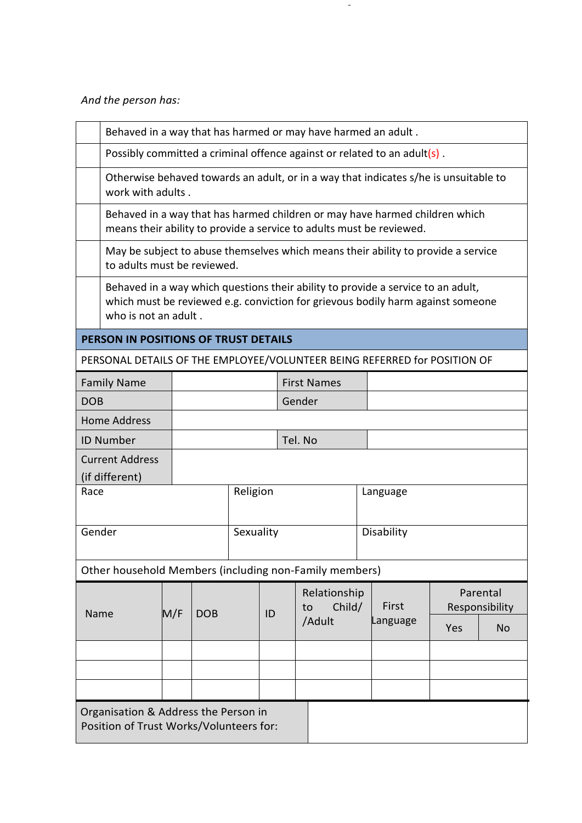*And the person has:*

|            | Behaved in a way that has harmed or may have harmed an adult.                                                                                                                               |     |            |           |    |  |                                                                                                                                                     |  |            |     |                            |
|------------|---------------------------------------------------------------------------------------------------------------------------------------------------------------------------------------------|-----|------------|-----------|----|--|-----------------------------------------------------------------------------------------------------------------------------------------------------|--|------------|-----|----------------------------|
|            | Possibly committed a criminal offence against or related to an adult(s).                                                                                                                    |     |            |           |    |  |                                                                                                                                                     |  |            |     |                            |
|            | Otherwise behaved towards an adult, or in a way that indicates s/he is unsuitable to<br>work with adults.                                                                                   |     |            |           |    |  |                                                                                                                                                     |  |            |     |                            |
|            |                                                                                                                                                                                             |     |            |           |    |  | Behaved in a way that has harmed children or may have harmed children which<br>means their ability to provide a service to adults must be reviewed. |  |            |     |                            |
|            | to adults must be reviewed.                                                                                                                                                                 |     |            |           |    |  | May be subject to abuse themselves which means their ability to provide a service                                                                   |  |            |     |                            |
|            | Behaved in a way which questions their ability to provide a service to an adult,<br>which must be reviewed e.g. conviction for grievous bodily harm against someone<br>who is not an adult. |     |            |           |    |  |                                                                                                                                                     |  |            |     |                            |
|            | PERSON IN POSITIONS OF TRUST DETAILS                                                                                                                                                        |     |            |           |    |  |                                                                                                                                                     |  |            |     |                            |
|            |                                                                                                                                                                                             |     |            |           |    |  | PERSONAL DETAILS OF THE EMPLOYEE/VOLUNTEER BEING REFERRED for POSITION OF                                                                           |  |            |     |                            |
|            | <b>Family Name</b>                                                                                                                                                                          |     |            |           |    |  | <b>First Names</b>                                                                                                                                  |  |            |     |                            |
| <b>DOB</b> |                                                                                                                                                                                             |     |            |           |    |  | Gender                                                                                                                                              |  |            |     |                            |
|            | <b>Home Address</b>                                                                                                                                                                         |     |            |           |    |  |                                                                                                                                                     |  |            |     |                            |
|            | <b>ID Number</b>                                                                                                                                                                            |     |            |           |    |  | Tel. No                                                                                                                                             |  |            |     |                            |
|            | <b>Current Address</b><br>(if different)                                                                                                                                                    |     |            |           |    |  |                                                                                                                                                     |  |            |     |                            |
| Race       |                                                                                                                                                                                             |     |            | Religion  |    |  |                                                                                                                                                     |  | Language   |     |                            |
| Gender     |                                                                                                                                                                                             |     |            | Sexuality |    |  |                                                                                                                                                     |  | Disability |     |                            |
|            |                                                                                                                                                                                             |     |            |           |    |  | Other household Members (including non-Family members)                                                                                              |  |            |     |                            |
| Name       |                                                                                                                                                                                             | M/F | <b>DOB</b> |           | ID |  | Relationship<br>Child/<br>to                                                                                                                        |  | First      |     | Parental<br>Responsibility |
|            |                                                                                                                                                                                             |     |            |           |    |  | /Adult                                                                                                                                              |  | Language   | Yes | No                         |
|            |                                                                                                                                                                                             |     |            |           |    |  |                                                                                                                                                     |  |            |     |                            |
|            |                                                                                                                                                                                             |     |            |           |    |  |                                                                                                                                                     |  |            |     |                            |
|            |                                                                                                                                                                                             |     |            |           |    |  |                                                                                                                                                     |  |            |     |                            |
|            | Organisation & Address the Person in<br>Position of Trust Works/Volunteers for:                                                                                                             |     |            |           |    |  |                                                                                                                                                     |  |            |     |                            |

 $\overline{\phantom{a}}$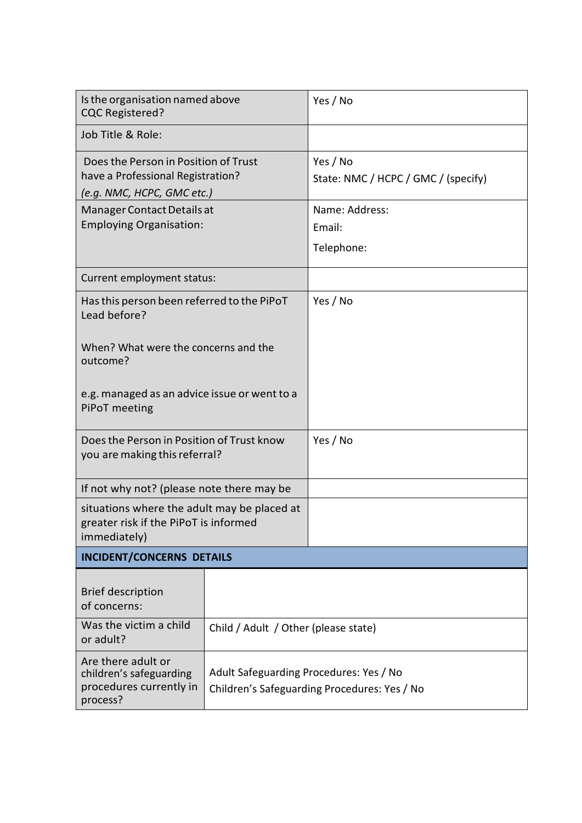| Is the organisation named above<br><b>CQC Registered?</b>                                               |                                         | Yes / No                                        |
|---------------------------------------------------------------------------------------------------------|-----------------------------------------|-------------------------------------------------|
| Job Title & Role:                                                                                       |                                         |                                                 |
| Does the Person in Position of Trust<br>have a Professional Registration?<br>(e.g. NMC, HCPC, GMC etc.) |                                         | Yes / No<br>State: NMC / HCPC / GMC / (specify) |
| Manager Contact Details at<br><b>Employing Organisation:</b>                                            |                                         | Name: Address:<br>Email:<br>Telephone:          |
| Current employment status:                                                                              |                                         |                                                 |
| Has this person been referred to the PiPoT<br>Lead before?                                              |                                         | Yes / No                                        |
| When? What were the concerns and the<br>outcome?                                                        |                                         |                                                 |
| e.g. managed as an advice issue or went to a<br>PiPoT meeting                                           |                                         |                                                 |
| Does the Person in Position of Trust know<br>you are making this referral?                              |                                         | Yes / No                                        |
| If not why not? (please note there may be                                                               |                                         |                                                 |
| situations where the adult may be placed at<br>greater risk if the PiPoT is informed<br>immediately)    |                                         |                                                 |
| <b>INCIDENT/CONCERNS DETAILS</b>                                                                        |                                         |                                                 |
| <b>Brief description</b><br>of concerns:                                                                |                                         |                                                 |
| Was the victim a child<br>or adult?                                                                     | Child / Adult / Other (please state)    |                                                 |
| Are there adult or<br>children's safeguarding<br>procedures currently in<br>process?                    | Adult Safeguarding Procedures: Yes / No | Children's Safeguarding Procedures: Yes / No    |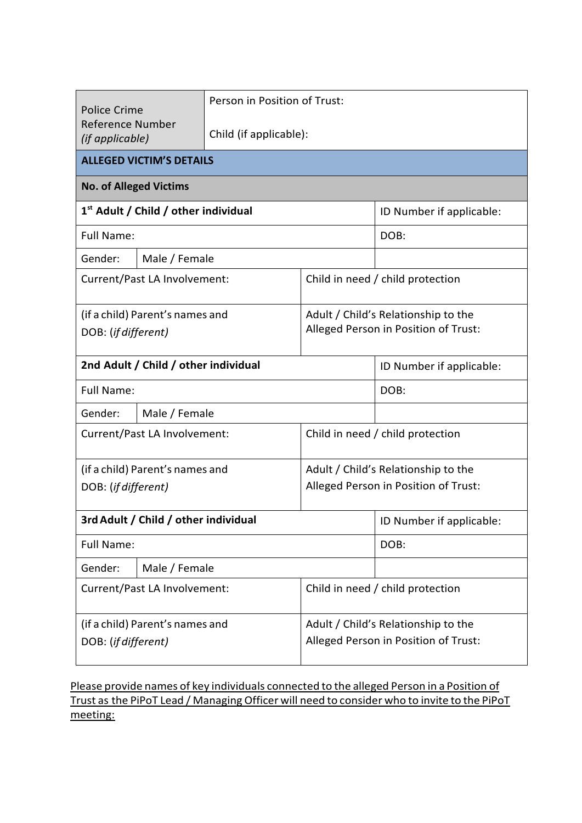| <b>Police Crime</b><br>Reference Number<br>(if applicable) |                                                  | Person in Position of Trust: |                                                                             |                                  |  |  |  |  |
|------------------------------------------------------------|--------------------------------------------------|------------------------------|-----------------------------------------------------------------------------|----------------------------------|--|--|--|--|
|                                                            |                                                  | Child (if applicable):       |                                                                             |                                  |  |  |  |  |
|                                                            | <b>ALLEGED VICTIM'S DETAILS</b>                  |                              |                                                                             |                                  |  |  |  |  |
| <b>No. of Alleged Victims</b>                              |                                                  |                              |                                                                             |                                  |  |  |  |  |
|                                                            | 1 <sup>st</sup> Adult / Child / other individual |                              |                                                                             | ID Number if applicable:         |  |  |  |  |
| <b>Full Name:</b>                                          |                                                  |                              |                                                                             | DOB:                             |  |  |  |  |
| Gender:                                                    | Male / Female                                    |                              |                                                                             |                                  |  |  |  |  |
|                                                            | Current/Past LA Involvement:                     |                              |                                                                             | Child in need / child protection |  |  |  |  |
| (if a child) Parent's names and<br>DOB: (if different)     |                                                  |                              | Adult / Child's Relationship to the<br>Alleged Person in Position of Trust: |                                  |  |  |  |  |
| 2nd Adult / Child / other individual                       | ID Number if applicable:                         |                              |                                                                             |                                  |  |  |  |  |
| <b>Full Name:</b>                                          |                                                  |                              | DOB:                                                                        |                                  |  |  |  |  |
| Gender:                                                    | Male / Female                                    |                              |                                                                             |                                  |  |  |  |  |
|                                                            | Current/Past LA Involvement:                     |                              | Child in need / child protection                                            |                                  |  |  |  |  |
|                                                            | (if a child) Parent's names and                  |                              | Adult / Child's Relationship to the                                         |                                  |  |  |  |  |
| DOB: (if different)                                        |                                                  |                              | Alleged Person in Position of Trust:                                        |                                  |  |  |  |  |
|                                                            | 3rd Adult / Child / other individual             |                              | ID Number if applicable:                                                    |                                  |  |  |  |  |
| <b>Full Name:</b>                                          |                                                  |                              | DOB:                                                                        |                                  |  |  |  |  |
| Gender:<br>Male / Female                                   |                                                  |                              |                                                                             |                                  |  |  |  |  |
| Current/Past LA Involvement:                               |                                                  |                              | Child in need / child protection                                            |                                  |  |  |  |  |
| (if a child) Parent's names and<br>DOB: (if different)     |                                                  |                              | Adult / Child's Relationship to the<br>Alleged Person in Position of Trust: |                                  |  |  |  |  |

Please provide names of key individuals connected to the alleged Person in a Position of Trust as the PiPoT Lead / Managing Officer will need to consider who to invite to the PiPoT meeting: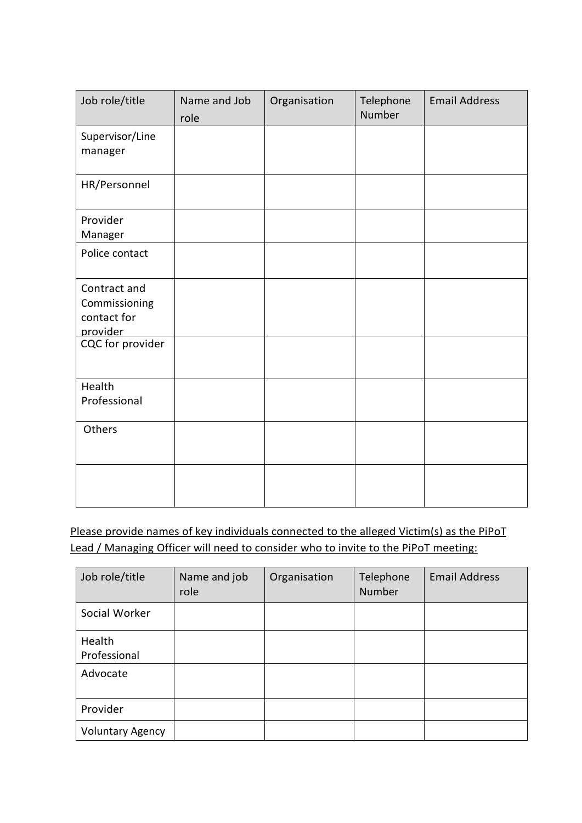| Job role/title                                           | Name and Job<br>role | Organisation | Telephone<br>Number | <b>Email Address</b> |
|----------------------------------------------------------|----------------------|--------------|---------------------|----------------------|
| Supervisor/Line<br>manager                               |                      |              |                     |                      |
| HR/Personnel                                             |                      |              |                     |                      |
| Provider<br>Manager                                      |                      |              |                     |                      |
| Police contact                                           |                      |              |                     |                      |
| Contract and<br>Commissioning<br>contact for<br>provider |                      |              |                     |                      |
| CQC for provider                                         |                      |              |                     |                      |
| Health<br>Professional                                   |                      |              |                     |                      |
| Others                                                   |                      |              |                     |                      |
|                                                          |                      |              |                     |                      |

Please provide names of key individuals connected to the alleged Victim(s) as the PiPoT Lead / Managing Officer will need to consider who to invite to the PiPoT meeting:

| Job role/title          | Name and job<br>role | Organisation | Telephone<br><b>Number</b> | <b>Email Address</b> |
|-------------------------|----------------------|--------------|----------------------------|----------------------|
| Social Worker           |                      |              |                            |                      |
| Health<br>Professional  |                      |              |                            |                      |
| Advocate                |                      |              |                            |                      |
| Provider                |                      |              |                            |                      |
| <b>Voluntary Agency</b> |                      |              |                            |                      |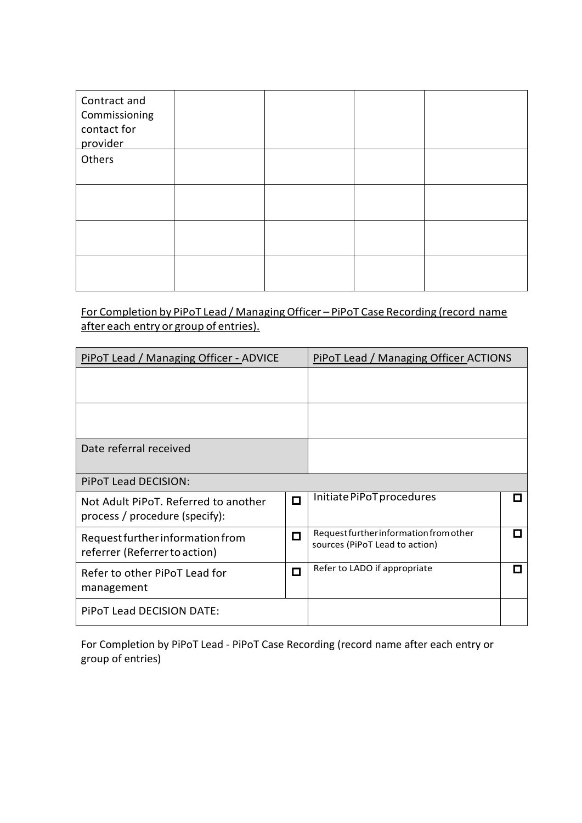| Contract and<br>Commissioning<br>contact for<br>provider |  |  |
|----------------------------------------------------------|--|--|
| Others                                                   |  |  |
|                                                          |  |  |
|                                                          |  |  |
|                                                          |  |  |

For Completion by PiPoT Lead / Managing Officer – PiPoT Case Recording (record name after each entry or group of entries).

| PiPoT Lead / Managing Officer - ADVICE                                 |        | PiPoT Lead / Managing Officer ACTIONS                                    |  |
|------------------------------------------------------------------------|--------|--------------------------------------------------------------------------|--|
|                                                                        |        |                                                                          |  |
|                                                                        |        |                                                                          |  |
| Date referral received                                                 |        |                                                                          |  |
| <b>PIPOT Lead DECISION:</b>                                            |        |                                                                          |  |
| Not Adult PiPoT. Referred to another<br>process / procedure (specify): | $\Box$ | Initiate PiPoT procedures                                                |  |
| Request further information from<br>referrer (Referrer to action)      | П      | Request further information from other<br>sources (PiPoT Lead to action) |  |
| Refer to other PiPoT Lead for<br>management                            | О      | Refer to LADO if appropriate                                             |  |
| PIPOT Lead DECISION DATE:                                              |        |                                                                          |  |

For Completion by PiPoT Lead - PiPoT Case Recording (record name after each entry or group of entries)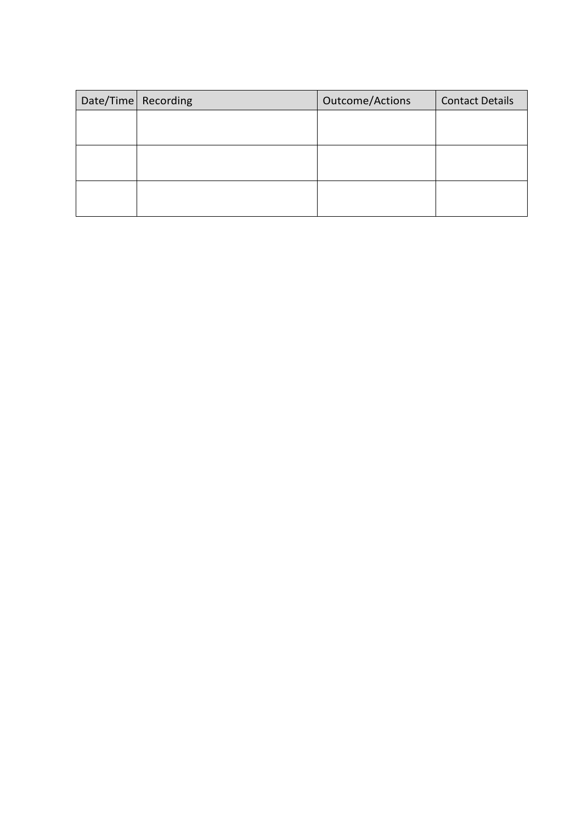| Date/Time   Recording | Outcome/Actions | <b>Contact Details</b> |
|-----------------------|-----------------|------------------------|
|                       |                 |                        |
|                       |                 |                        |
|                       |                 |                        |
|                       |                 |                        |
|                       |                 |                        |
|                       |                 |                        |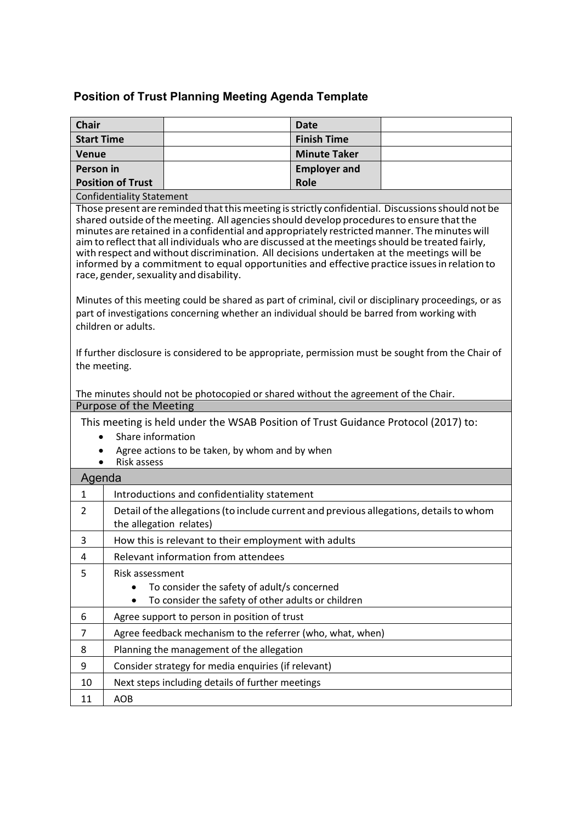## **Position of Trust Planning Meeting Agenda Template**

| <b>Chair</b>      |                                                                                                                                                                                                                                                                                                                                                                                                                                                                                                                                                                                                                                         |                                                                                                                                                                                                     | <b>Date</b>         |  |  |
|-------------------|-----------------------------------------------------------------------------------------------------------------------------------------------------------------------------------------------------------------------------------------------------------------------------------------------------------------------------------------------------------------------------------------------------------------------------------------------------------------------------------------------------------------------------------------------------------------------------------------------------------------------------------------|-----------------------------------------------------------------------------------------------------------------------------------------------------------------------------------------------------|---------------------|--|--|
| <b>Start Time</b> |                                                                                                                                                                                                                                                                                                                                                                                                                                                                                                                                                                                                                                         |                                                                                                                                                                                                     | <b>Finish Time</b>  |  |  |
| <b>Venue</b>      |                                                                                                                                                                                                                                                                                                                                                                                                                                                                                                                                                                                                                                         |                                                                                                                                                                                                     | <b>Minute Taker</b> |  |  |
| Person in         |                                                                                                                                                                                                                                                                                                                                                                                                                                                                                                                                                                                                                                         |                                                                                                                                                                                                     | <b>Employer and</b> |  |  |
|                   | <b>Position of Trust</b>                                                                                                                                                                                                                                                                                                                                                                                                                                                                                                                                                                                                                |                                                                                                                                                                                                     | <b>Role</b>         |  |  |
|                   | <b>Confidentiality Statement</b>                                                                                                                                                                                                                                                                                                                                                                                                                                                                                                                                                                                                        |                                                                                                                                                                                                     |                     |  |  |
|                   | Those present are reminded that this meeting is strictly confidential. Discussions should not be<br>shared outside of the meeting. All agencies should develop procedures to ensure that the<br>minutes are retained in a confidential and appropriately restricted manner. The minutes will<br>aim to reflect that all individuals who are discussed at the meetings should be treated fairly,<br>with respect and without discrimination. All decisions undertaken at the meetings will be<br>informed by a commitment to equal opportunities and effective practice issues in relation to<br>race, gender, sexuality and disability. |                                                                                                                                                                                                     |                     |  |  |
|                   | children or adults.                                                                                                                                                                                                                                                                                                                                                                                                                                                                                                                                                                                                                     | Minutes of this meeting could be shared as part of criminal, civil or disciplinary proceedings, or as<br>part of investigations concerning whether an individual should be barred from working with |                     |  |  |
| the meeting.      |                                                                                                                                                                                                                                                                                                                                                                                                                                                                                                                                                                                                                                         | If further disclosure is considered to be appropriate, permission must be sought from the Chair of<br>The minutes should not be photocopied or shared without the agreement of the Chair.           |                     |  |  |
|                   | <b>Purpose of the Meeting</b>                                                                                                                                                                                                                                                                                                                                                                                                                                                                                                                                                                                                           |                                                                                                                                                                                                     |                     |  |  |
|                   |                                                                                                                                                                                                                                                                                                                                                                                                                                                                                                                                                                                                                                         | This meeting is held under the WSAB Position of Trust Guidance Protocol (2017) to:                                                                                                                  |                     |  |  |
|                   | Share information                                                                                                                                                                                                                                                                                                                                                                                                                                                                                                                                                                                                                       |                                                                                                                                                                                                     |                     |  |  |
|                   | Risk assess                                                                                                                                                                                                                                                                                                                                                                                                                                                                                                                                                                                                                             | Agree actions to be taken, by whom and by when                                                                                                                                                      |                     |  |  |
| Agenda            |                                                                                                                                                                                                                                                                                                                                                                                                                                                                                                                                                                                                                                         |                                                                                                                                                                                                     |                     |  |  |
| $\mathbf{1}$      |                                                                                                                                                                                                                                                                                                                                                                                                                                                                                                                                                                                                                                         | Introductions and confidentiality statement                                                                                                                                                         |                     |  |  |
| $\overline{2}$    | the allegation relates)                                                                                                                                                                                                                                                                                                                                                                                                                                                                                                                                                                                                                 | Detail of the allegations (to include current and previous allegations, details to whom                                                                                                             |                     |  |  |
| 3                 |                                                                                                                                                                                                                                                                                                                                                                                                                                                                                                                                                                                                                                         | How this is relevant to their employment with adults                                                                                                                                                |                     |  |  |
| 4                 |                                                                                                                                                                                                                                                                                                                                                                                                                                                                                                                                                                                                                                         | Relevant information from attendees                                                                                                                                                                 |                     |  |  |
| 5                 | Risk assessment<br>To consider the safety of adult/s concerned<br>To consider the safety of other adults or children                                                                                                                                                                                                                                                                                                                                                                                                                                                                                                                    |                                                                                                                                                                                                     |                     |  |  |
| 6                 |                                                                                                                                                                                                                                                                                                                                                                                                                                                                                                                                                                                                                                         | Agree support to person in position of trust                                                                                                                                                        |                     |  |  |
| 7                 |                                                                                                                                                                                                                                                                                                                                                                                                                                                                                                                                                                                                                                         | Agree feedback mechanism to the referrer (who, what, when)                                                                                                                                          |                     |  |  |
| 8                 |                                                                                                                                                                                                                                                                                                                                                                                                                                                                                                                                                                                                                                         | Planning the management of the allegation                                                                                                                                                           |                     |  |  |
| 9                 |                                                                                                                                                                                                                                                                                                                                                                                                                                                                                                                                                                                                                                         |                                                                                                                                                                                                     |                     |  |  |
| 10                |                                                                                                                                                                                                                                                                                                                                                                                                                                                                                                                                                                                                                                         | Consider strategy for media enquiries (if relevant)                                                                                                                                                 |                     |  |  |
|                   | Next steps including details of further meetings                                                                                                                                                                                                                                                                                                                                                                                                                                                                                                                                                                                        |                                                                                                                                                                                                     |                     |  |  |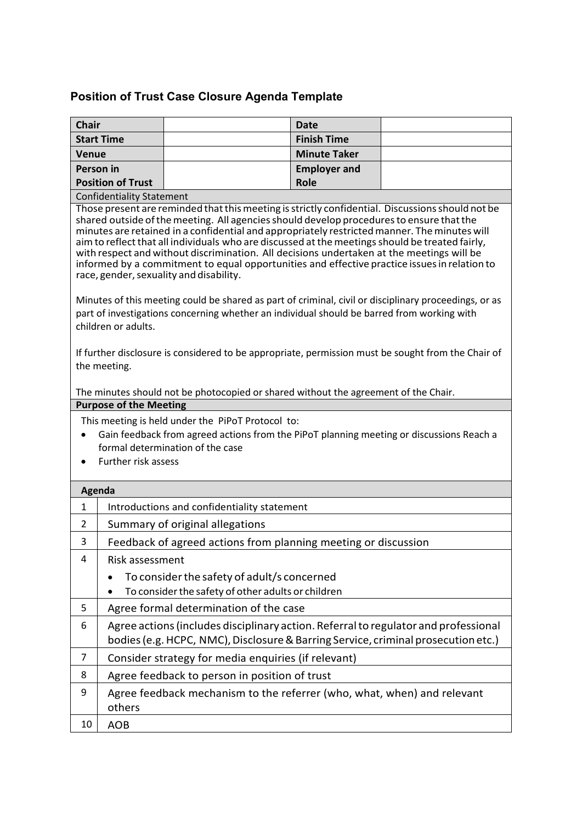## **Position of Trust Case Closure Agenda Template**

| <b>Chair</b>                                                                                                                                                                                                                                                                                                                                                                                                                                                                                                                                                                                                                            |                                                                                                                                                                          |                                                                                                                                                                                                     | <b>Date</b>         |  |  |
|-----------------------------------------------------------------------------------------------------------------------------------------------------------------------------------------------------------------------------------------------------------------------------------------------------------------------------------------------------------------------------------------------------------------------------------------------------------------------------------------------------------------------------------------------------------------------------------------------------------------------------------------|--------------------------------------------------------------------------------------------------------------------------------------------------------------------------|-----------------------------------------------------------------------------------------------------------------------------------------------------------------------------------------------------|---------------------|--|--|
|                                                                                                                                                                                                                                                                                                                                                                                                                                                                                                                                                                                                                                         | <b>Start Time</b>                                                                                                                                                        |                                                                                                                                                                                                     | <b>Finish Time</b>  |  |  |
| <b>Venue</b>                                                                                                                                                                                                                                                                                                                                                                                                                                                                                                                                                                                                                            |                                                                                                                                                                          |                                                                                                                                                                                                     | <b>Minute Taker</b> |  |  |
| <b>Person</b> in                                                                                                                                                                                                                                                                                                                                                                                                                                                                                                                                                                                                                        |                                                                                                                                                                          |                                                                                                                                                                                                     | <b>Employer and</b> |  |  |
|                                                                                                                                                                                                                                                                                                                                                                                                                                                                                                                                                                                                                                         | <b>Position of Trust</b>                                                                                                                                                 |                                                                                                                                                                                                     | <b>Role</b>         |  |  |
|                                                                                                                                                                                                                                                                                                                                                                                                                                                                                                                                                                                                                                         | <b>Confidentiality Statement</b>                                                                                                                                         |                                                                                                                                                                                                     |                     |  |  |
| Those present are reminded that this meeting is strictly confidential. Discussions should not be<br>shared outside of the meeting. All agencies should develop procedures to ensure that the<br>minutes are retained in a confidential and appropriately restricted manner. The minutes will<br>aim to reflect that all individuals who are discussed at the meetings should be treated fairly,<br>with respect and without discrimination. All decisions undertaken at the meetings will be<br>informed by a commitment to equal opportunities and effective practice issues in relation to<br>race, gender, sexuality and disability. |                                                                                                                                                                          |                                                                                                                                                                                                     |                     |  |  |
|                                                                                                                                                                                                                                                                                                                                                                                                                                                                                                                                                                                                                                         | children or adults.                                                                                                                                                      | Minutes of this meeting could be shared as part of criminal, civil or disciplinary proceedings, or as<br>part of investigations concerning whether an individual should be barred from working with |                     |  |  |
|                                                                                                                                                                                                                                                                                                                                                                                                                                                                                                                                                                                                                                         | the meeting.                                                                                                                                                             | If further disclosure is considered to be appropriate, permission must be sought from the Chair of                                                                                                  |                     |  |  |
|                                                                                                                                                                                                                                                                                                                                                                                                                                                                                                                                                                                                                                         |                                                                                                                                                                          | The minutes should not be photocopied or shared without the agreement of the Chair.                                                                                                                 |                     |  |  |
|                                                                                                                                                                                                                                                                                                                                                                                                                                                                                                                                                                                                                                         | <b>Purpose of the Meeting</b>                                                                                                                                            |                                                                                                                                                                                                     |                     |  |  |
| $\bullet$                                                                                                                                                                                                                                                                                                                                                                                                                                                                                                                                                                                                                               |                                                                                                                                                                          | This meeting is held under the PiPoT Protocol to:<br>Gain feedback from agreed actions from the PiPoT planning meeting or discussions Reach a                                                       |                     |  |  |
|                                                                                                                                                                                                                                                                                                                                                                                                                                                                                                                                                                                                                                         |                                                                                                                                                                          | formal determination of the case                                                                                                                                                                    |                     |  |  |
|                                                                                                                                                                                                                                                                                                                                                                                                                                                                                                                                                                                                                                         | Further risk assess                                                                                                                                                      |                                                                                                                                                                                                     |                     |  |  |
| Agenda                                                                                                                                                                                                                                                                                                                                                                                                                                                                                                                                                                                                                                  |                                                                                                                                                                          |                                                                                                                                                                                                     |                     |  |  |
| $\mathbf{1}$                                                                                                                                                                                                                                                                                                                                                                                                                                                                                                                                                                                                                            |                                                                                                                                                                          | Introductions and confidentiality statement                                                                                                                                                         |                     |  |  |
| 2                                                                                                                                                                                                                                                                                                                                                                                                                                                                                                                                                                                                                                       |                                                                                                                                                                          | Summary of original allegations                                                                                                                                                                     |                     |  |  |
| 3                                                                                                                                                                                                                                                                                                                                                                                                                                                                                                                                                                                                                                       |                                                                                                                                                                          | Feedback of agreed actions from planning meeting or discussion                                                                                                                                      |                     |  |  |
| 4                                                                                                                                                                                                                                                                                                                                                                                                                                                                                                                                                                                                                                       | Risk assessment                                                                                                                                                          |                                                                                                                                                                                                     |                     |  |  |
|                                                                                                                                                                                                                                                                                                                                                                                                                                                                                                                                                                                                                                         | To consider the safety of adult/s concerned<br>To consider the safety of other adults or children                                                                        |                                                                                                                                                                                                     |                     |  |  |
| 5                                                                                                                                                                                                                                                                                                                                                                                                                                                                                                                                                                                                                                       |                                                                                                                                                                          | Agree formal determination of the case                                                                                                                                                              |                     |  |  |
| 6                                                                                                                                                                                                                                                                                                                                                                                                                                                                                                                                                                                                                                       |                                                                                                                                                                          |                                                                                                                                                                                                     |                     |  |  |
|                                                                                                                                                                                                                                                                                                                                                                                                                                                                                                                                                                                                                                         | Agree actions (includes disciplinary action. Referral to regulator and professional<br>bodies (e.g. HCPC, NMC), Disclosure & Barring Service, criminal prosecution etc.) |                                                                                                                                                                                                     |                     |  |  |
| 7                                                                                                                                                                                                                                                                                                                                                                                                                                                                                                                                                                                                                                       |                                                                                                                                                                          | Consider strategy for media enquiries (if relevant)                                                                                                                                                 |                     |  |  |
| 8                                                                                                                                                                                                                                                                                                                                                                                                                                                                                                                                                                                                                                       |                                                                                                                                                                          | Agree feedback to person in position of trust                                                                                                                                                       |                     |  |  |
| 9                                                                                                                                                                                                                                                                                                                                                                                                                                                                                                                                                                                                                                       | others                                                                                                                                                                   | Agree feedback mechanism to the referrer (who, what, when) and relevant                                                                                                                             |                     |  |  |
| 10                                                                                                                                                                                                                                                                                                                                                                                                                                                                                                                                                                                                                                      | <b>AOB</b>                                                                                                                                                               |                                                                                                                                                                                                     |                     |  |  |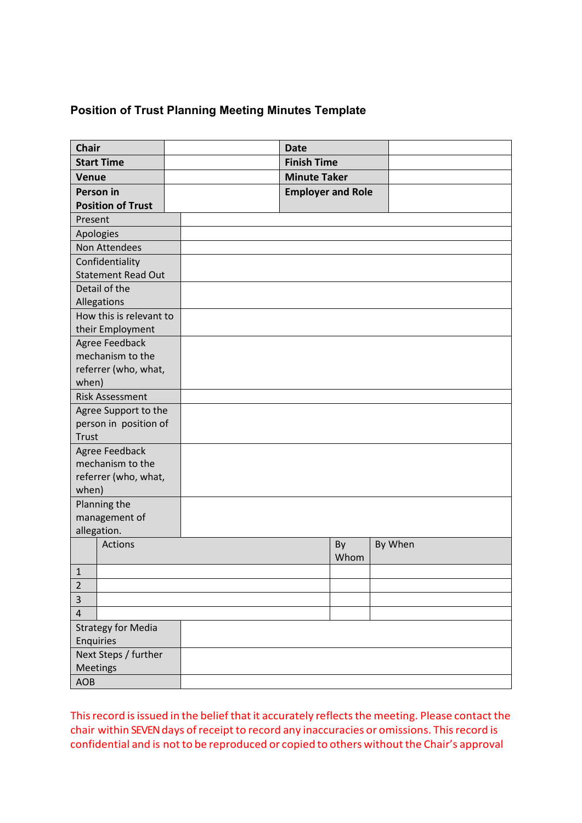#### **Position of Trust Planning Meeting Minutes Template**

| <b>Finish Time</b><br><b>Start Time</b><br><b>Minute Taker</b><br>Venue<br>Person in<br><b>Employer and Role</b><br><b>Position of Trust</b><br>Present<br>Apologies<br>Non Attendees<br>Confidentiality<br><b>Statement Read Out</b> | <b>Chair</b> | <b>Date</b> |  |
|---------------------------------------------------------------------------------------------------------------------------------------------------------------------------------------------------------------------------------------|--------------|-------------|--|
|                                                                                                                                                                                                                                       |              |             |  |
|                                                                                                                                                                                                                                       |              |             |  |
|                                                                                                                                                                                                                                       |              |             |  |
|                                                                                                                                                                                                                                       |              |             |  |
|                                                                                                                                                                                                                                       |              |             |  |
|                                                                                                                                                                                                                                       |              |             |  |
|                                                                                                                                                                                                                                       |              |             |  |
|                                                                                                                                                                                                                                       |              |             |  |
|                                                                                                                                                                                                                                       |              |             |  |
| Detail of the                                                                                                                                                                                                                         |              |             |  |
| Allegations                                                                                                                                                                                                                           |              |             |  |
| How this is relevant to                                                                                                                                                                                                               |              |             |  |
| their Employment                                                                                                                                                                                                                      |              |             |  |
| Agree Feedback                                                                                                                                                                                                                        |              |             |  |
| mechanism to the                                                                                                                                                                                                                      |              |             |  |
| referrer (who, what,                                                                                                                                                                                                                  |              |             |  |
| when)                                                                                                                                                                                                                                 |              |             |  |
| <b>Risk Assessment</b>                                                                                                                                                                                                                |              |             |  |
| Agree Support to the                                                                                                                                                                                                                  |              |             |  |
| person in position of                                                                                                                                                                                                                 |              |             |  |
| <b>Trust</b>                                                                                                                                                                                                                          |              |             |  |
| Agree Feedback                                                                                                                                                                                                                        |              |             |  |
| mechanism to the                                                                                                                                                                                                                      |              |             |  |
| referrer (who, what,                                                                                                                                                                                                                  |              |             |  |
| when)                                                                                                                                                                                                                                 |              |             |  |
| Planning the                                                                                                                                                                                                                          |              |             |  |
| management of                                                                                                                                                                                                                         |              |             |  |
| allegation.<br>Actions                                                                                                                                                                                                                |              |             |  |
| By<br>By When<br>Whom                                                                                                                                                                                                                 |              |             |  |
| $\mathbf{1}$                                                                                                                                                                                                                          |              |             |  |
| $\overline{2}$                                                                                                                                                                                                                        |              |             |  |
| 3                                                                                                                                                                                                                                     |              |             |  |
| $\overline{\mathbf{r}}$                                                                                                                                                                                                               |              |             |  |
| <b>Strategy for Media</b>                                                                                                                                                                                                             |              |             |  |
| Enquiries                                                                                                                                                                                                                             |              |             |  |
| Next Steps / further                                                                                                                                                                                                                  |              |             |  |
| <b>Meetings</b>                                                                                                                                                                                                                       |              |             |  |
| <b>AOB</b>                                                                                                                                                                                                                            |              |             |  |

This record is issued in the belief that it accurately reflects the meeting. Please contact the chair within SEVEN days of receipt to record any inaccuracies or omissions. This record is confidential and is not to be reproduced or copied to others without the Chair's approval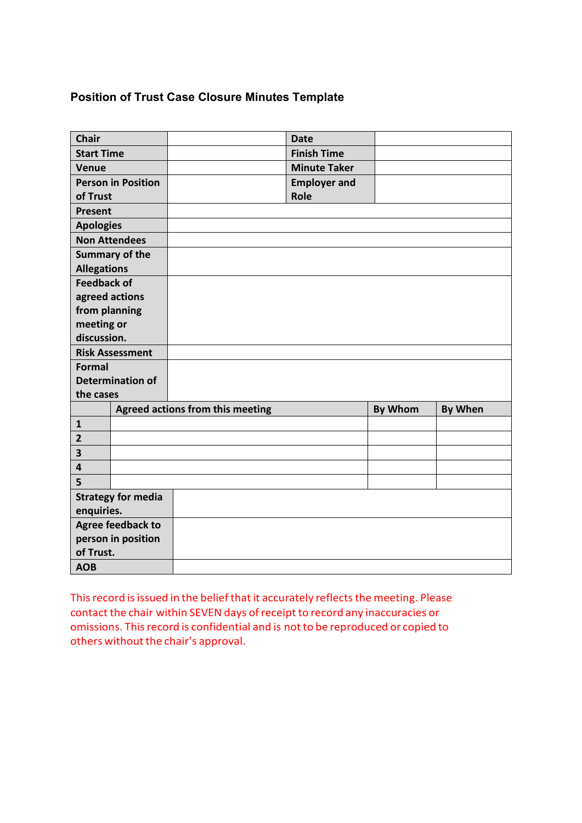#### **Position of Trust Case Closure Minutes Template**

| <b>Chair</b>            |                           |                                  | <b>Date</b>         |                |                |
|-------------------------|---------------------------|----------------------------------|---------------------|----------------|----------------|
| <b>Start Time</b>       |                           |                                  | <b>Finish Time</b>  |                |                |
| <b>Venue</b>            |                           |                                  | <b>Minute Taker</b> |                |                |
|                         | <b>Person in Position</b> |                                  | <b>Employer and</b> |                |                |
| of Trust                |                           |                                  | Role                |                |                |
| <b>Present</b>          |                           |                                  |                     |                |                |
| <b>Apologies</b>        |                           |                                  |                     |                |                |
|                         | <b>Non Attendees</b>      |                                  |                     |                |                |
|                         | <b>Summary of the</b>     |                                  |                     |                |                |
| <b>Allegations</b>      |                           |                                  |                     |                |                |
| <b>Feedback of</b>      |                           |                                  |                     |                |                |
|                         | agreed actions            |                                  |                     |                |                |
| from planning           |                           |                                  |                     |                |                |
| meeting or              |                           |                                  |                     |                |                |
| discussion.             |                           |                                  |                     |                |                |
|                         | <b>Risk Assessment</b>    |                                  |                     |                |                |
| <b>Formal</b>           |                           |                                  |                     |                |                |
|                         | <b>Determination of</b>   |                                  |                     |                |                |
| the cases               |                           |                                  |                     |                |                |
|                         |                           | Agreed actions from this meeting |                     | <b>By Whom</b> | <b>By When</b> |
| $\mathbf{1}$            |                           |                                  |                     |                |                |
| $\overline{2}$          |                           |                                  |                     |                |                |
| 3                       |                           |                                  |                     |                |                |
| $\overline{\mathbf{4}}$ |                           |                                  |                     |                |                |
| 5                       |                           |                                  |                     |                |                |
|                         | <b>Strategy for media</b> |                                  |                     |                |                |
| enquiries.              |                           |                                  |                     |                |                |
|                         | <b>Agree feedback to</b>  |                                  |                     |                |                |
|                         | person in position        |                                  |                     |                |                |
| of Trust.               |                           |                                  |                     |                |                |
| <b>AOB</b>              |                           |                                  |                     |                |                |

This record is issued in the belief that it accurately reflects the meeting. Please contact the chair within SEVEN days of receipt to record any inaccuracies or omissions. This record is confidential and is not to be reproduced or copied to others without the chair's approval.